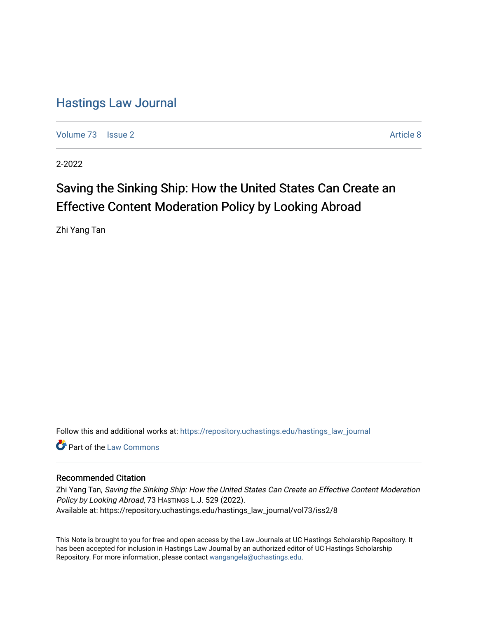# [Hastings Law Journal](https://repository.uchastings.edu/hastings_law_journal)

[Volume 73](https://repository.uchastings.edu/hastings_law_journal/vol73) | [Issue 2](https://repository.uchastings.edu/hastings_law_journal/vol73/iss2) Article 8

2-2022

# Saving the Sinking Ship: How the United States Can Create an Effective Content Moderation Policy by Looking Abroad

Zhi Yang Tan

Follow this and additional works at: [https://repository.uchastings.edu/hastings\\_law\\_journal](https://repository.uchastings.edu/hastings_law_journal?utm_source=repository.uchastings.edu%2Fhastings_law_journal%2Fvol73%2Fiss2%2F8&utm_medium=PDF&utm_campaign=PDFCoverPages) 

**C** Part of the [Law Commons](http://network.bepress.com/hgg/discipline/578?utm_source=repository.uchastings.edu%2Fhastings_law_journal%2Fvol73%2Fiss2%2F8&utm_medium=PDF&utm_campaign=PDFCoverPages)

## Recommended Citation

Zhi Yang Tan, Saving the Sinking Ship: How the United States Can Create an Effective Content Moderation Policy by Looking Abroad, 73 HASTINGS L.J. 529 (2022). Available at: https://repository.uchastings.edu/hastings\_law\_journal/vol73/iss2/8

This Note is brought to you for free and open access by the Law Journals at UC Hastings Scholarship Repository. It has been accepted for inclusion in Hastings Law Journal by an authorized editor of UC Hastings Scholarship Repository. For more information, please contact [wangangela@uchastings.edu](mailto:wangangela@uchastings.edu).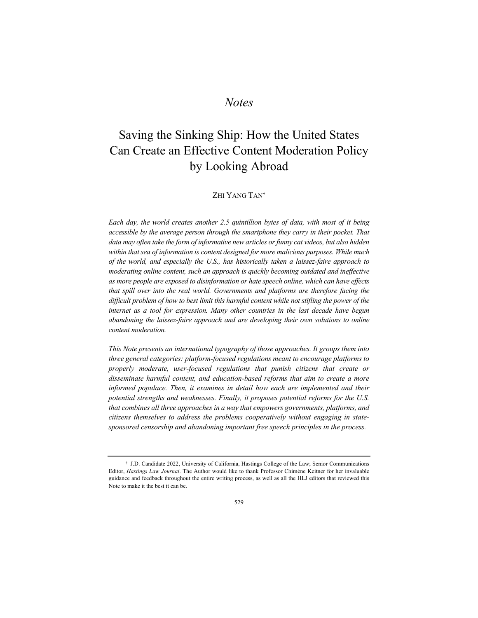# *Notes*

# Saving the Sinking Ship: How the United States Can Create an Effective Content Moderation Policy by Looking Abroad

### ZHI YANG TAN<sup>†</sup>

*Each day, the world creates another 2.5 quintillion bytes of data, with most of it being accessible by the average person through the smartphone they carry in their pocket. That data may often take the form of informative new articles or funny cat videos, but also hidden within that sea of information is content designed for more malicious purposes. While much of the world, and especially the U.S., has historically taken a laissez-faire approach to moderating online content, such an approach is quickly becoming outdated and ineffective as more people are exposed to disinformation or hate speech online, which can have effects that spill over into the real world. Governments and platforms are therefore facing the difficult problem of how to best limit this harmful content while not stifling the power of the internet as a tool for expression. Many other countries in the last decade have begun abandoning the laissez-faire approach and are developing their own solutions to online content moderation.*

*This Note presents an international typography of those approaches. It groups them into three general categories: platform-focused regulations meant to encourage platforms to properly moderate, user-focused regulations that punish citizens that create or disseminate harmful content, and education-based reforms that aim to create a more informed populace. Then, it examines in detail how each are implemented and their potential strengths and weaknesses. Finally, it proposes potential reforms for the U.S. that combines all three approaches in a way that empowers governments, platforms, and citizens themselves to address the problems cooperatively without engaging in statesponsored censorship and abandoning important free speech principles in the process.*

<sup>†</sup> J.D. Candidate 2022, University of California, Hastings College of the Law; Senior Communications Editor, *Hastings Law Journal*. The Author would like to thank Professor Chimène Keitner for her invaluable guidance and feedback throughout the entire writing process, as well as all the HLJ editors that reviewed this Note to make it the best it can be.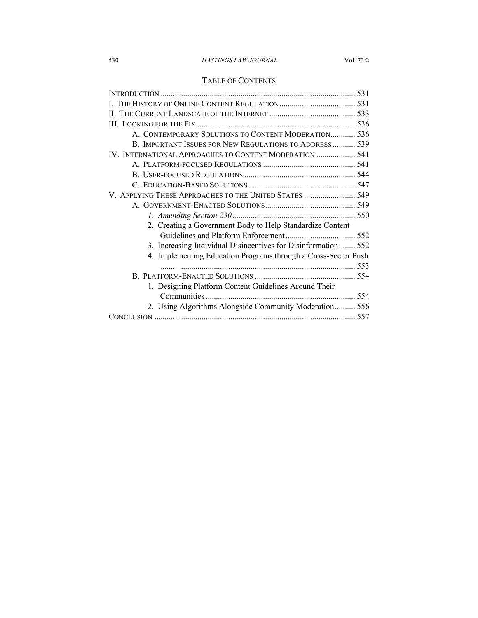### 530 *HASTINGS LAW JOURNAL* Vol. 73:2

# TABLE OF CONTENTS

| A. CONTEMPORARY SOLUTIONS TO CONTENT MODERATION 536            |  |
|----------------------------------------------------------------|--|
| B. IMPORTANT ISSUES FOR NEW REGULATIONS TO ADDRESS  539        |  |
| IV. INTERNATIONAL APPROACHES TO CONTENT MODERATION  541        |  |
|                                                                |  |
|                                                                |  |
|                                                                |  |
| V. APPLYING THESE APPROACHES TO THE UNITED STATES  549         |  |
|                                                                |  |
|                                                                |  |
| 2. Creating a Government Body to Help Standardize Content      |  |
|                                                                |  |
| 3. Increasing Individual Disincentives for Disinformation 552  |  |
| 4. Implementing Education Programs through a Cross-Sector Push |  |
|                                                                |  |
|                                                                |  |
| 1. Designing Platform Content Guidelines Around Their          |  |
|                                                                |  |
| 2. Using Algorithms Alongside Community Moderation 556         |  |
|                                                                |  |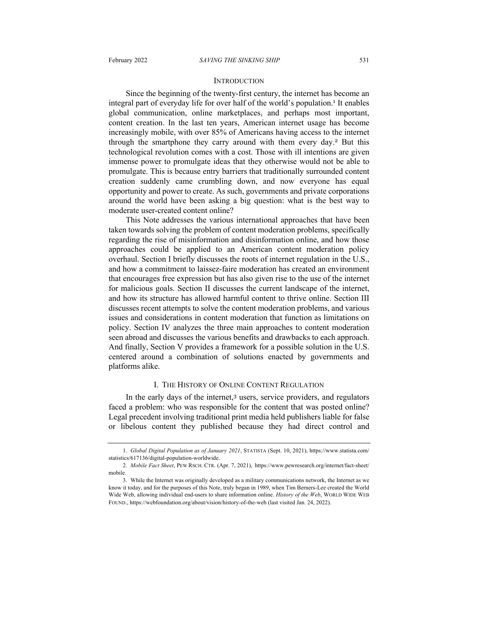#### **INTRODUCTION**

Since the beginning of the twenty-first century, the internet has become an integral part of everyday life for over half of the world's population.<sup>1</sup> It enables global communication, online marketplaces, and perhaps most important, content creation. In the last ten years, American internet usage has become increasingly mobile, with over 85% of Americans having access to the internet through the smartphone they carry around with them every day.<sup>2</sup> But this technological revolution comes with a cost. Those with ill intentions are given immense power to promulgate ideas that they otherwise would not be able to promulgate. This is because entry barriers that traditionally surrounded content creation suddenly came crumbling down, and now everyone has equal opportunity and power to create. As such, governments and private corporations around the world have been asking a big question: what is the best way to moderate user-created content online?

This Note addresses the various international approaches that have been taken towards solving the problem of content moderation problems, specifically regarding the rise of misinformation and disinformation online, and how those approaches could be applied to an American content moderation policy overhaul. Section I briefly discusses the roots of internet regulation in the U.S., and how a commitment to laissez-faire moderation has created an environment that encourages free expression but has also given rise to the use of the internet for malicious goals. Section II discusses the current landscape of the internet, and how its structure has allowed harmful content to thrive online. Section III discusses recent attempts to solve the content moderation problems, and various issues and considerations in content moderation that function as limitations on policy. Section IV analyzes the three main approaches to content moderation seen abroad and discusses the various benefits and drawbacks to each approach. And finally, Section V provides a framework for a possible solution in the U.S. centered around a combination of solutions enacted by governments and platforms alike.

#### I. THE HISTORY OF ONLINE CONTENT REGULATION

In the early days of the internet,<sup>3</sup> users, service providers, and regulators faced a problem: who was responsible for the content that was posted online? Legal precedent involving traditional print media held publishers liable for false or libelous content they published because they had direct control and

<sup>1.</sup> *Global Digital Population as of January 2021*, STATISTA (Sept. 10, 2021), https://www.statista.com/ statistics/617136/digital-population-worldwide.

<sup>2.</sup> *Mobile Fact Sheet*, PEW RSCH. CTR. (Apr. 7, 2021), https://www.pewresearch.org/internet/fact-sheet/ mobile.

<sup>3.</sup> While the Internet was originally developed as a military communications network, the Internet as we know it today, and for the purposes of this Note, truly began in 1989, when Tim Berners-Lee created the World Wide Web, allowing individual end-users to share information online. *History of the Web*, WORLD WIDE WEB FOUND., https://webfoundation.org/about/vision/history-of-the-web (last visited Jan. 24, 2022).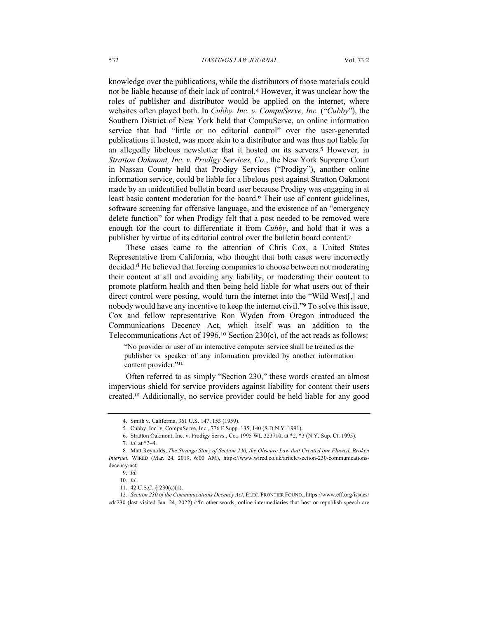knowledge over the publications, while the distributors of those materials could not be liable because of their lack of control.<sup>4</sup> However, it was unclear how the roles of publisher and distributor would be applied on the internet, where websites often played both. In *Cubby, Inc. v. CompuServe, Inc.* ("*Cubby*"), the Southern District of New York held that CompuServe, an online information service that had "little or no editorial control" over the user-generated publications it hosted, was more akin to a distributor and was thus not liable for an allegedly libelous newsletter that it hosted on its servers.<sup>5</sup> However, in *Stratton Oakmont, Inc. v. Prodigy Services, Co.*, the New York Supreme Court in Nassau County held that Prodigy Services ("Prodigy"), another online information service, could be liable for a libelous post against Stratton Oakmont made by an unidentified bulletin board user because Prodigy was engaging in at least basic content moderation for the board. <sup>6</sup> Their use of content guidelines, software screening for offensive language, and the existence of an "emergency delete function" for when Prodigy felt that a post needed to be removed were enough for the court to differentiate it from *Cubby*, and hold that it was a publisher by virtue of its editorial control over the bulletin board content.<sup>7</sup>

These cases came to the attention of Chris Cox, a United States Representative from California, who thought that both cases were incorrectly decided.<sup>8</sup> He believed that forcing companies to choose between not moderating their content at all and avoiding any liability, or moderating their content to promote platform health and then being held liable for what users out of their direct control were posting, would turn the internet into the "Wild West[,] and nobody would have any incentive to keep the internet civil."<sup>9</sup> To solve this issue, Cox and fellow representative Ron Wyden from Oregon introduced the Communications Decency Act, which itself was an addition to the Telecommunications Act of 1996. <sup>10</sup> Section 230(c), of the act reads as follows:

"No provider or user of an interactive computer service shall be treated as the publisher or speaker of any information provided by another information content provider."<sup>11</sup>

Often referred to as simply "Section 230," these words created an almost impervious shield for service providers against liability for content their users created.<sup>12</sup> Additionally, no service provider could be held liable for any good

<sup>4.</sup> Smith v. California, 361 U.S. 147, 153 (1959).

<sup>5.</sup> Cubby, Inc. v. CompuServe, Inc., 776 F.Supp. 135, 140 (S.D.N.Y. 1991).

<sup>6.</sup> Stratton Oakmont, Inc. v. Prodigy Servs., Co., 1995 WL 323710, at \*2, \*3 (N.Y. Sup. Ct. 1995).

<sup>7.</sup> *Id.* at \*3–4*.*

<sup>8.</sup> Matt Reynolds, *The Strange Story of Section 230, the Obscure Law that Created our Flawed, Broken Internet*, WIRED (Mar. 24, 2019, 6:00 AM), https://www.wired.co.uk/article/section-230-communicationsdecency-act.

<sup>9.</sup> *Id.*

<sup>10.</sup> *Id.*

<sup>11.</sup> 42 U.S.C. § 230(c)(1).

<sup>12.</sup> *Section 230 of the Communications Decency Act*, ELEC. FRONTIER FOUND., https://www.eff.org/issues/ cda230 (last visited Jan. 24, 2022) ("In other words, online intermediaries that host or republish speech are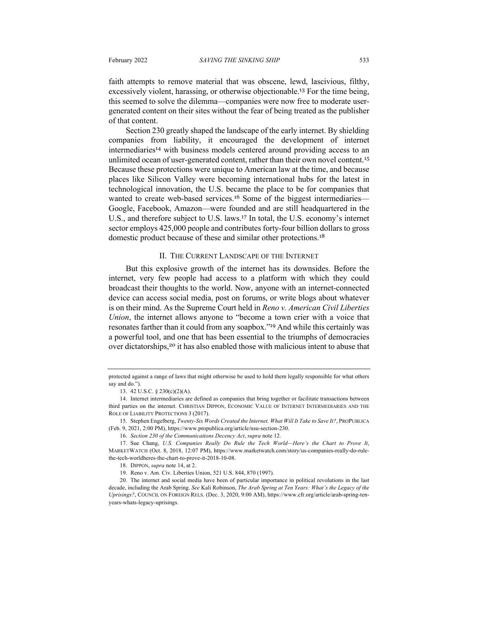faith attempts to remove material that was obscene, lewd, lascivious, filthy, excessively violent, harassing, or otherwise objectionable.<sup>13</sup> For the time being, this seemed to solve the dilemma—companies were now free to moderate usergenerated content on their sites without the fear of being treated as the publisher of that content.

Section 230 greatly shaped the landscape of the early internet. By shielding companies from liability, it encouraged the development of internet intermediaries<sup>14</sup> with business models centered around providing access to an unlimited ocean of user-generated content, rather than their own novel content.<sup>15</sup> Because these protections were unique to American law at the time, and because places like Silicon Valley were becoming international hubs for the latest in technological innovation, the U.S. became the place to be for companies that wanted to create web-based services.<sup>16</sup> Some of the biggest intermediaries— Google, Facebook, Amazon—were founded and are still headquartered in the U.S., and therefore subject to U.S. laws.<sup>17</sup> In total, the U.S. economy's internet sector employs 425,000 people and contributes forty-four billion dollars to gross domestic product because of these and similar other protections.<sup>18</sup>

#### II. THE CURRENT LANDSCAPE OF THE INTERNET

But this explosive growth of the internet has its downsides. Before the internet, very few people had access to a platform with which they could broadcast their thoughts to the world. Now, anyone with an internet-connected device can access social media, post on forums, or write blogs about whatever is on their mind. As the Supreme Court held in *Reno v. American Civil Liberties Union*, the internet allows anyone to "become a town crier with a voice that resonates farther than it could from any soapbox."<sup>19</sup> And while this certainly was a powerful tool, and one that has been essential to the triumphs of democracies over dictatorships,<sup>20</sup> it has also enabled those with malicious intent to abuse that

protected against a range of laws that might otherwise be used to hold them legally responsible for what others say and do.").

<sup>13.</sup> 42 U.S.C. § 230(c)(2)(A).

<sup>14.</sup> Internet intermediaries are defined as companies that bring together or facilitate transactions between third parties on the internet. CHRISTIAN DIPPON, ECONOMIC VALUE OF INTERNET INTERMEDIARIES AND THE ROLE OF LIABILITY PROTECTIONS 3 (2017).

<sup>15.</sup> Stephen Engelberg, *Twenty-Six Words Created the Internet. What Will It Take to Save It?*, PROPUBLICA (Feb. 9, 2021, 2:00 PM), https://www.propublica.org/article/nsu-section-230.

<sup>16.</sup> *Section 230 of the Communications Decency Act*, *supra* note 12.

<sup>17.</sup> Sue Chang, *U.S. Companies Really Do Rule the Tech World—Here's the Chart to Prove It*, MARKETWATCH (Oct. 8, 2018, 12:07 PM), https://www.marketwatch.com/story/us-companies-really-do-rulethe-tech-worldheres-the-chart-to-prove-it-2018-10-08.

<sup>18.</sup> DIPPON, *supra* note 14, at 2.

<sup>19.</sup> Reno v. Am. Civ. Liberties Union, 521 U.S. 844, 870 (1997).

<sup>20.</sup> The internet and social media have been of particular importance in political revolutions in the last decade, including the Arab Spring. *See* Kali Robinson, *The Arab Spring at Ten Years: What's the Legacy of the Uprisings?*, COUNCIL ON FOREIGN RELS. (Dec. 3, 2020, 9:00 AM), https://www.cfr.org/article/arab-spring-tenyears-whats-legacy-uprisings.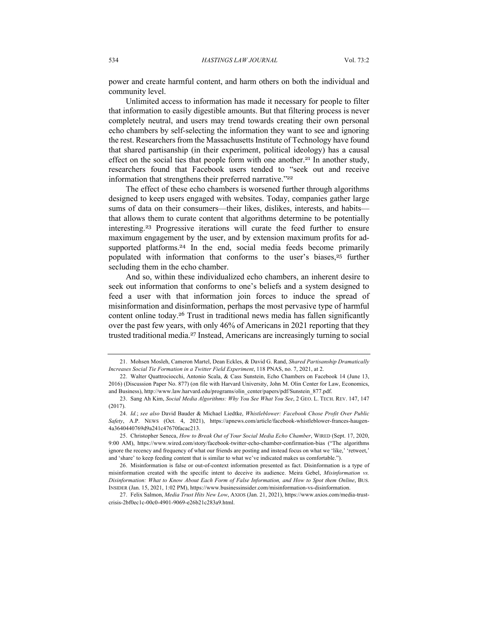power and create harmful content, and harm others on both the individual and community level.

Unlimited access to information has made it necessary for people to filter that information to easily digestible amounts. But that filtering process is never completely neutral, and users may trend towards creating their own personal echo chambers by self-selecting the information they want to see and ignoring the rest. Researchers from the Massachusetts Institute of Technology have found that shared partisanship (in their experiment, political ideology) has a causal effect on the social ties that people form with one another.<sup>21</sup> In another study, researchers found that Facebook users tended to "seek out and receive information that strengthens their preferred narrative."<sup>22</sup>

The effect of these echo chambers is worsened further through algorithms designed to keep users engaged with websites. Today, companies gather large sums of data on their consumers—their likes, dislikes, interests, and habits that allows them to curate content that algorithms determine to be potentially interesting.<sup>23</sup> Progressive iterations will curate the feed further to ensure maximum engagement by the user, and by extension maximum profits for adsupported platforms. <sup>24</sup> In the end, social media feeds become primarily populated with information that conforms to the user's biases,<sup>25</sup> further secluding them in the echo chamber.

And so, within these individualized echo chambers, an inherent desire to seek out information that conforms to one's beliefs and a system designed to feed a user with that information join forces to induce the spread of misinformation and disinformation, perhaps the most pervasive type of harmful content online today.<sup>26</sup> Trust in traditional news media has fallen significantly over the past few years, with only 46% of Americans in 2021 reporting that they trusted traditional media.<sup>27</sup> Instead, Americans are increasingly turning to social

<sup>21.</sup> Mohsen Mosleh, Cameron Martel, Dean Eckles, & David G. Rand, *Shared Partisanship Dramatically Increases Social Tie Formation in a Twitter Field Experiment*, 118 PNAS, no. 7, 2021, at 2.

<sup>22.</sup> Walter Quattrociocchi, Antonio Scala, & Cass Sunstein, Echo Chambers on Facebook 14 (June 13, 2016) (Discussion Paper No. 877) (on file with Harvard University, John M. Olin Center for Law, Economics, and Business), http://www.law.harvard.edu/programs/olin\_center/papers/pdf/Sunstein\_877.pdf.

<sup>23.</sup> Sang Ah Kim, *Social Media Algorithms: Why You See What You See*, 2 GEO. L. TECH. REV. 147, 147  $(2017)$ 

<sup>24.</sup> *Id.*; *see also* David Bauder & Michael Liedtke, *Whistleblower: Facebook Chose Profit Over Public Safety*, A.P. NEWS (Oct. 4, 2021), https://apnews.com/article/facebook-whistleblower-frances-haugen-4a3640440769d9a241c47670facac213.

<sup>25.</sup> Christopher Seneca, *How to Break Out of Your Social Media Echo Chamber*, WIRED (Sept. 17, 2020, 9:00 AM), https://www.wired.com/story/facebook-twitter-echo-chamber-confirmation-bias ("The algorithms ignore the recency and frequency of what our friends are posting and instead focus on what we 'like,' 'retweet,' and 'share' to keep feeding content that is similar to what we've indicated makes us comfortable.").

<sup>26.</sup> Misinformation is false or out-of-context information presented as fact. Disinformation is a type of misinformation created with the specific intent to deceive its audience. Meira Gebel, *Misinformation vs. Disinformation: What to Know About Each Form of False Information, and How to Spot them Online*, BUS. INSIDER (Jan. 15, 2021, 1:02 PM), https://www.businessinsider.com/misinformation-vs-disinformation.

<sup>27.</sup> Felix Salmon, *Media Trust Hits New Low*, AXIOS (Jan. 21, 2021), https://www.axios.com/media-trustcrisis-2bf0ec1c-00c0-4901-9069-e26b21c283a9.html.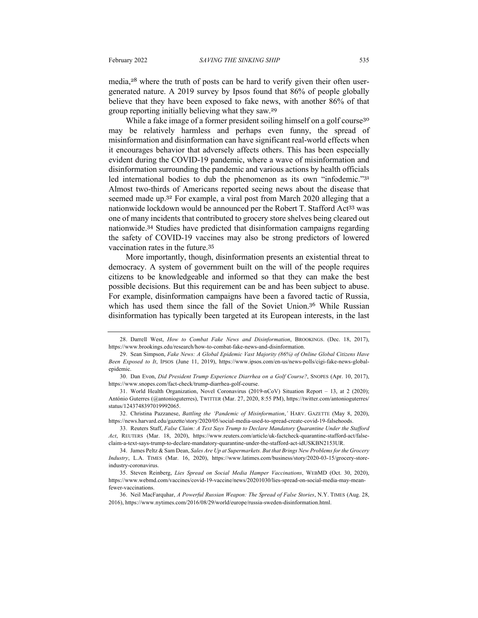media,<sup>28</sup> where the truth of posts can be hard to verify given their often usergenerated nature. A 2019 survey by Ipsos found that 86% of people globally believe that they have been exposed to fake news, with another 86% of that group reporting initially believing what they saw.<sup>29</sup>

While a fake image of a former president soiling himself on a golf course<sup>30</sup> may be relatively harmless and perhaps even funny, the spread of misinformation and disinformation can have significant real-world effects when it encourages behavior that adversely affects others. This has been especially evident during the COVID-19 pandemic, where a wave of misinformation and disinformation surrounding the pandemic and various actions by health officials led international bodies to dub the phenomenon as its own "infodemic."<sup>31</sup> Almost two-thirds of Americans reported seeing news about the disease that seemed made up.<sup>32</sup> For example, a viral post from March 2020 alleging that a nationwide lockdown would be announced per the Robert T. Stafford Act<sup>33</sup> was one of many incidents that contributed to grocery store shelves being cleared out nationwide. <sup>34</sup> Studies have predicted that disinformation campaigns regarding the safety of COVID-19 vaccines may also be strong predictors of lowered vaccination rates in the future.<sup>35</sup>

More importantly, though, disinformation presents an existential threat to democracy. A system of government built on the will of the people requires citizens to be knowledgeable and informed so that they can make the best possible decisions. But this requirement can be and has been subject to abuse. For example, disinformation campaigns have been a favored tactic of Russia, which has used them since the fall of the Soviet Union.<sup>36</sup> While Russian disinformation has typically been targeted at its European interests, in the last

32. Christina Pazzanese, *Battling the 'Pandemic of Misinformation*,*'* HARV. GAZETTE (May 8, 2020), https://news.harvard.edu/gazette/story/2020/05/social-media-used-to-spread-create-covid-19-falsehoods.

33. Reuters Staff, *False Claim: A Text Says Trump to Declare Mandatory Quarantine Under the Stafford Act*, REUTERS (Mar. 18, 2020), https://www.reuters.com/article/uk-factcheck-quarantine-stafford-act/falseclaim-a-text-says-trump-to-declare-mandatory-quarantine-under-the-stafford-act-idUSKBN2153UR.

<sup>28.</sup> Darrell West, *How to Combat Fake News and Disinformation*, BROOKINGS. (Dec. 18, 2017), https://www.brookings.edu/research/how-to-combat-fake-news-and-disinformation.

<sup>29.</sup> Sean Simpson, *Fake News: A Global Epidemic Vast Majority (86%) of Online Global Citizens Have Been Exposed to It*, IPSOS (June 11, 2019), https://www.ipsos.com/en-us/news-polls/cigi-fake-news-globalepidemic.

<sup>30.</sup> Dan Evon, *Did President Trump Experience Diarrhea on a Golf Course?*, SNOPES (Apr. 10, 2017), https://www.snopes.com/fact-check/trump-diarrhea-golf-course.

<sup>31.</sup> World Health Organization, Novel Coronavirus (2019-nCoV) Situation Report – 13, at 2 (2020); António Guterres (@antonioguterres), TWITTER (Mar. 27, 2020, 8:55 PM), https://twitter.com/antonioguterres/ status/1243748397019992065.

<sup>34.</sup> James Peltz & Sam Dean, *Sales Are Up at Supermarkets. But that Brings New Problems for the Grocery Industry*, L.A. TIMES (Mar. 16, 2020), https://www.latimes.com/business/story/2020-03-15/grocery-storeindustry-coronavirus.

<sup>35.</sup> Steven Reinberg, *Lies Spread on Social Media Hamper Vaccinations*, WEBMD (Oct. 30, 2020), https://www.webmd.com/vaccines/covid-19-vaccine/news/20201030/lies-spread-on-social-media-may-meanfewer-vaccinations.

<sup>36.</sup> Neil MacFarquhar, *A Powerful Russian Weapon: The Spread of False Stories*, N.Y. TIMES (Aug. 28, 2016), https://www.nytimes.com/2016/08/29/world/europe/russia-sweden-disinformation.html.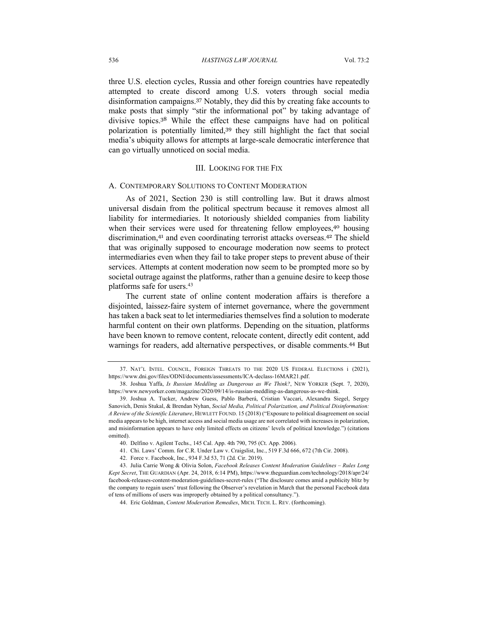three U.S. election cycles, Russia and other foreign countries have repeatedly attempted to create discord among U.S. voters through social media disinformation campaigns.<sup>37</sup> Notably, they did this by creating fake accounts to make posts that simply "stir the informational pot" by taking advantage of divisive topics.<sup>38</sup> While the effect these campaigns have had on political polarization is potentially limited, <sup>39</sup> they still highlight the fact that social media's ubiquity allows for attempts at large-scale democratic interference that can go virtually unnoticed on social media.

#### III. LOOKING FOR THE FIX

#### A. CONTEMPORARY SOLUTIONS TO CONTENT MODERATION

As of 2021, Section 230 is still controlling law. But it draws almost universal disdain from the political spectrum because it removes almost all liability for intermediaries. It notoriously shielded companies from liability when their services were used for threatening fellow employees,<sup>40</sup> housing discrimination,<sup>41</sup> and even coordinating terrorist attacks overseas.<sup>42</sup> The shield that was originally supposed to encourage moderation now seems to protect intermediaries even when they fail to take proper steps to prevent abuse of their services. Attempts at content moderation now seem to be prompted more so by societal outrage against the platforms, rather than a genuine desire to keep those platforms safe for users.<sup>43</sup>

The current state of online content moderation affairs is therefore a disjointed, laissez-faire system of internet governance, where the government has taken a back seat to let intermediaries themselves find a solution to moderate harmful content on their own platforms. Depending on the situation, platforms have been known to remove content, relocate content, directly edit content, add warnings for readers, add alternative perspectives, or disable comments.<sup>44</sup> But

<sup>37.</sup> NAT'L INTEL. COUNCIL, FOREIGN THREATS TO THE 2020 US FEDERAL ELECTIONS i (2021), https://www.dni.gov/files/ODNI/documents/assessments/ICA-declass-16MAR21.pdf.

<sup>38.</sup> Joshua Yaffa, *Is Russian Meddling as Dangerous as We Think?*, NEW YORKER (Sept. 7, 2020), https://www.newyorker.com/magazine/2020/09/14/is-russian-meddling-as-dangerous-as-we-think.

<sup>39.</sup> Joshua A. Tucker, Andrew Guess, Pablo Barberá, Cristian Vaccari, Alexandra Siegel, Sergey Sanovich, Denis Stukal, & Brendan Nyhan, *Social Media, Political Polarization, and Political Disinformation: A Review of the Scientific Literature*, HEWLETT FOUND. 15 (2018) ("Exposure to political disagreement on social media appears to be high, internet access and social media usage are not correlated with increases in polarization, and misinformation appears to have only limited effects on citizens' levels of political knowledge.") (citations omitted).

<sup>40.</sup> Delfino v. Agilent Techs., 145 Cal. App. 4th 790, 795 (Ct. App. 2006).

<sup>41.</sup> Chi. Laws' Comm. for C.R. Under Law v. Craigslist, Inc., 519 F.3d 666, 672 (7th Cir. 2008).

<sup>42.</sup> Force v. Facebook, Inc., 934 F.3d 53, 71 (2d. Cir. 2019).

<sup>43</sup>. Julia Carrie Wong & Olivia Solon, *Facebook Releases Content Moderation Guidelines – Rules Long Kept Secret*, THE GUARDIAN (Apr. 24, 2018, 6:14 PM), https://www.theguardian.com/technology/2018/apr/24/ facebook-releases-content-moderation-guidelines-secret-rules ("The disclosure comes amid a publicity blitz by the company to regain users' trust following the Observer's revelation in March that the personal Facebook data of tens of millions of users was improperly obtained by a political consultancy.").

<sup>44.</sup> Eric Goldman, *Content Moderation Remedies*, MICH. TECH. L. REV. (forthcoming).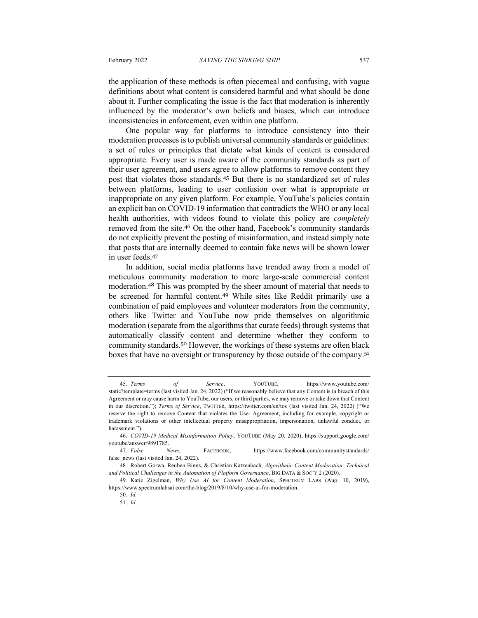the application of these methods is often piecemeal and confusing, with vague definitions about what content is considered harmful and what should be done about it. Further complicating the issue is the fact that moderation is inherently influenced by the moderator's own beliefs and biases, which can introduce inconsistencies in enforcement, even within one platform.

One popular way for platforms to introduce consistency into their moderation processes is to publish universal community standards or guidelines: a set of rules or principles that dictate what kinds of content is considered appropriate. Every user is made aware of the community standards as part of their user agreement, and users agree to allow platforms to remove content they post that violates those standards.<sup>45</sup> But there is no standardized set of rules between platforms, leading to user confusion over what is appropriate or inappropriate on any given platform. For example, YouTube's policies contain an explicit ban on COVID-19 information that contradicts the WHO or any local health authorities, with videos found to violate this policy are *completely* removed from the site.<sup>46</sup> On the other hand, Facebook's community standards do not explicitly prevent the posting of misinformation, and instead simply note that posts that are internally deemed to contain fake news will be shown lower in user feeds.<sup>47</sup>

In addition, social media platforms have trended away from a model of meticulous community moderation to more large-scale commercial content moderation.<sup>48</sup> This was prompted by the sheer amount of material that needs to be screened for harmful content.<sup>49</sup> While sites like Reddit primarily use a combination of paid employees and volunteer moderators from the community, others like Twitter and YouTube now pride themselves on algorithmic moderation (separate from the algorithms that curate feeds) through systems that automatically classify content and determine whether they conform to community standards.<sup>50</sup> However, the workings of these systems are often black boxes that have no oversight or transparency by those outside of the company.<sup>51</sup>

<sup>45.</sup> *Terms of Service*, YOUTUBE, https://www.youtube.com/ static?template=terms (last visited Jan. 24, 2022) ("If we reasonably believe that any Content is in breach of this Agreement or may cause harm to YouTube, our users, or third parties, we may remove or take down that Content in our discretion."); *Terms of Service*, TWITTER, https://twitter.com/en/tos (last visited Jan. 24, 2022) ("We reserve the right to remove Content that violates the User Agreement, including for example, copyright or trademark violations or other intellectual property misappropriation, impersonation, unlawful conduct, or harassment.").

<sup>46.</sup> *COVID-19 Medical Misinformation Policy*, YOUTUBE (May 20, 2020), https://support.google.com/ youtube/answer/9891785.

<sup>47.</sup> *False News*, FACEBOOK, https://www.facebook.com/communitystandards/ false\_news (last visited Jan. 24, 2022).

<sup>48.</sup> Robert Gorwa, Reuben Binns, & Christian Katzenbach, *Algorithmic Content Moderation: Technical and Political Challenges in the Automation of Platform Governance*, BIG DATA & SOC'Y 2 (2020).

<sup>49.</sup> Katie Zigelman, *Why Use AI for Content Moderation*, SPECTRUM LABS (Aug. 10, 2019), https://www.spectrumlabsai.com/the-blog/2019/8/10/why-use-ai-for-moderation.

<sup>50.</sup> *Id.*

<sup>51.</sup> *Id.*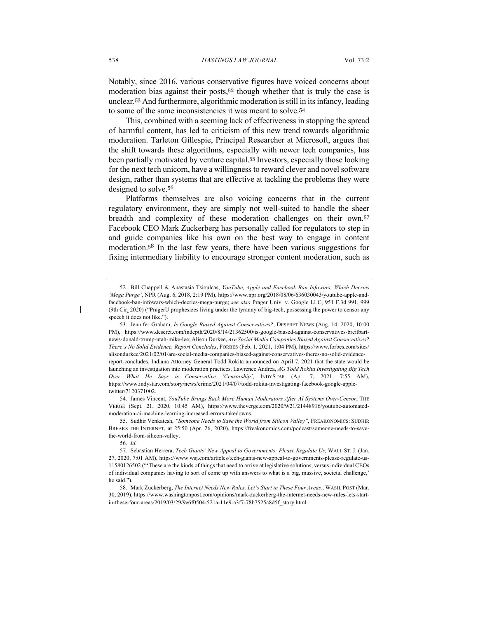Notably, since 2016, various conservative figures have voiced concerns about moderation bias against their posts,<sup>52</sup> though whether that is truly the case is unclear.<sup>53</sup> And furthermore, algorithmic moderation is still in its infancy, leading to some of the same inconsistencies it was meant to solve.<sup>54</sup>

This, combined with a seeming lack of effectiveness in stopping the spread of harmful content, has led to criticism of this new trend towards algorithmic moderation. Tarleton Gillespie, Principal Researcher at Microsoft, argues that the shift towards these algorithms, especially with newer tech companies, has been partially motivated by venture capital.<sup>55</sup> Investors, especially those looking for the next tech unicorn, have a willingness to reward clever and novel software design, rather than systems that are effective at tackling the problems they were designed to solve.<sup>56</sup>

Platforms themselves are also voicing concerns that in the current regulatory environment, they are simply not well-suited to handle the sheer breadth and complexity of these moderation challenges on their own.<sup>57</sup> Facebook CEO Mark Zuckerberg has personally called for regulators to step in and guide companies like his own on the best way to engage in content moderation.<sup>58</sup> In the last few years, there have been various suggestions for fixing intermediary liability to encourage stronger content moderation, such as

54. James Vincent, *YouTube Brings Back More Human Moderators After AI Systems Over-Censor*, THE VERGE (Sept. 21, 2020, 10:45 AM), https://www.theverge.com/2020/9/21/21448916/youtube-automatedmoderation-ai-machine-learning-increased-errors-takedowns.

55. Sudhir Venkatesh, *"Someone Needs to Save the World from Silicon Valley"*, FREAKONOMICS: SUDHIR BREAKS THE INTERNET, at 25:50 (Apr. 26, 2020), https://freakonomics.com/podcast/someone-needs-to-savethe-world-from-silicon-valley.

56. *Id.*

58. Mark Zuckerberg, *The Internet Needs New Rules. Let's Start in These Four Areas.*, WASH. POST (Mar. 30, 2019), https://www.washingtonpost.com/opinions/mark-zuckerberg-the-internet-needs-new-rules-lets-startin-these-four-areas/2019/03/29/9e6f0504-521a-11e9-a3f7-78b7525a8d5f\_story.html.

<sup>52.</sup> Bill Chappell & Anastasia Tsioulcas, *YouTube, Apple and Facebook Ban Infowars, Which Decries 'Mega Purge'*, NPR (Aug. 6, 2018, 2:19 PM), https://www.npr.org/2018/08/06/636030043/youtube-apple-andfacebook-ban-infowars-which-decries-mega-purge; *see also* Prager Univ. v. Google LLC, 951 F.3d 991, 999 (9th Cir. 2020) ("PragerU prophesizes living under the tyranny of big-tech, possessing the power to censor any speech it does not like.").

<sup>53.</sup> Jennifer Graham, *Is Google Biased Against Conservatives?*, DESERET NEWS (Aug. 14, 2020, 10:00 PM), https://www.deseret.com/indepth/2020/8/14/21362500/is-google-biased-against-conservatives-breitbartnews-donald-trump-utah-mike-lee; Alison Durkee, *Are Social Media Companies Biased Against Conservatives? There's No Solid Evidence, Report Concludes*, FORBES (Feb. 1, 2021, 1:04 PM), https://www.forbes.com/sites/ alisondurkee/2021/02/01/are-social-media-companies-biased-against-conservatives-theres-no-solid-evidencereport-concludes. Indiana Attorney General Todd Rokita announced on April 7, 2021 that the state would be launching an investigation into moderation practices. Lawrence Andrea, *AG Todd Rokita Investigating Big Tech Over What He Says is Conservative 'Censorship'*, INDYSTAR (Apr. 7, 2021, 7:55 AM), https://www.indystar.com/story/news/crime/2021/04/07/todd-rokita-investigating-facebook-google-appletwitter/7120371002.

<sup>57.</sup> Sebastian Herrera, *Tech Giants' New Appeal to Governments: Please Regulate Us*, WALL ST. J. (Jan. 27, 2020, 7:01 AM), https://www.wsj.com/articles/tech-giants-new-appeal-to-governments-please-regulate-us-11580126502 ("'These are the kinds of things that need to arrive at legislative solutions, versus individual CEOs of individual companies having to sort of come up with answers to what is a big, massive, societal challenge,' he said.").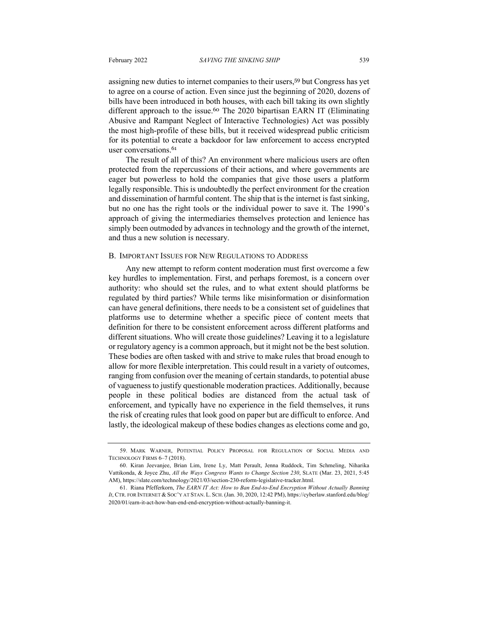assigning new duties to internet companies to their users,<sup>59</sup> but Congress has yet to agree on a course of action. Even since just the beginning of 2020, dozens of bills have been introduced in both houses, with each bill taking its own slightly different approach to the issue.<sup>60</sup> The 2020 bipartisan EARN IT (Eliminating Abusive and Rampant Neglect of Interactive Technologies) Act was possibly the most high-profile of these bills, but it received widespread public criticism for its potential to create a backdoor for law enforcement to access encrypted user conversations.<sup>61</sup>

The result of all of this? An environment where malicious users are often protected from the repercussions of their actions, and where governments are eager but powerless to hold the companies that give those users a platform legally responsible. This is undoubtedly the perfect environment for the creation and dissemination of harmful content. The ship that is the internet is fast sinking, but no one has the right tools or the individual power to save it. The 1990's approach of giving the intermediaries themselves protection and lenience has simply been outmoded by advances in technology and the growth of the internet, and thus a new solution is necessary.

#### B. IMPORTANT ISSUES FOR NEW REGULATIONS TO ADDRESS

Any new attempt to reform content moderation must first overcome a few key hurdles to implementation. First, and perhaps foremost, is a concern over authority: who should set the rules, and to what extent should platforms be regulated by third parties? While terms like misinformation or disinformation can have general definitions, there needs to be a consistent set of guidelines that platforms use to determine whether a specific piece of content meets that definition for there to be consistent enforcement across different platforms and different situations. Who will create those guidelines? Leaving it to a legislature or regulatory agency is a common approach, but it might not be the best solution. These bodies are often tasked with and strive to make rules that broad enough to allow for more flexible interpretation. This could result in a variety of outcomes, ranging from confusion over the meaning of certain standards, to potential abuse of vagueness to justify questionable moderation practices. Additionally, because people in these political bodies are distanced from the actual task of enforcement, and typically have no experience in the field themselves, it runs the risk of creating rules that look good on paper but are difficult to enforce. And lastly, the ideological makeup of these bodies changes as elections come and go,

<sup>59.</sup> MARK WARNER, POTENTIAL POLICY PROPOSAL FOR REGULATION OF SOCIAL MEDIA AND TECHNOLOGY FIRMS 6–7 (2018).

<sup>60.</sup> Kiran Jeevanjee, Brian Lim, Irene Ly, Matt Perault, Jenna Ruddock, Tim Schmeling, Niharika Vattikonda, & Joyce Zhu, *All the Ways Congress Wants to Change Section 230*, SLATE (Mar. 23, 2021, 5:45 AM), https://slate.com/technology/2021/03/section-230-reform-legislative-tracker.html.

<sup>61.</sup> Riana Pfefferkorn, *The EARN IT Act: How to Ban End-to-End Encryption Without Actually Banning It*, CTR. FOR INTERNET & SOC'Y AT STAN. L. SCH. (Jan. 30, 2020, 12:42 PM), https://cyberlaw.stanford.edu/blog/ 2020/01/earn-it-act-how-ban-end-end-encryption-without-actually-banning-it.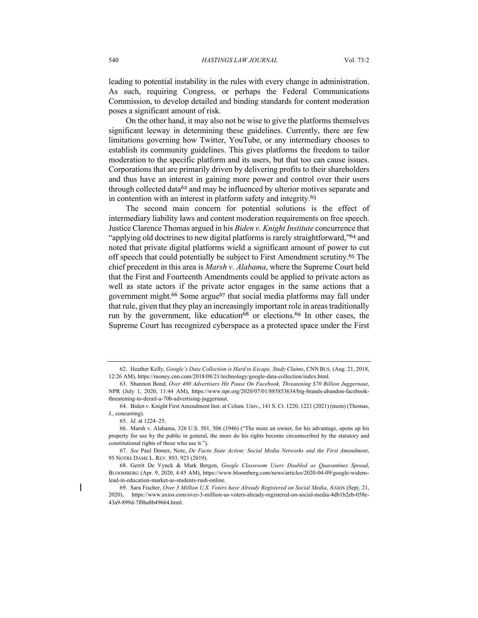leading to potential instability in the rules with every change in administration. As such, requiring Congress, or perhaps the Federal Communications Commission, to develop detailed and binding standards for content moderation poses a significant amount of risk.

On the other hand, it may also not be wise to give the platforms themselves significant leeway in determining these guidelines. Currently, there are few limitations governing how Twitter, YouTube, or any intermediary chooses to establish its community guidelines. This gives platforms the freedom to tailor moderation to the specific platform and its users, but that too can cause issues. Corporations that are primarily driven by delivering profits to their shareholders and thus have an interest in gaining more power and control over their users through collected data<sup>62</sup> and may be influenced by ulterior motives separate and in contention with an interest in platform safety and integrity. 63

The second main concern for potential solutions is the effect of intermediary liability laws and content moderation requirements on free speech. Justice Clarence Thomas argued in his *Biden v. Knight Institute* concurrence that "applying old doctrines to new digital platforms is rarely straightforward,"<sup>64</sup> and noted that private digital platforms wield a significant amount of power to cut off speech that could potentially be subject to First Amendment scrutiny. <sup>65</sup> The chief precedent in this area is *Marsh v. Alabama*, where the Supreme Court held that the First and Fourteenth Amendments could be applied to private actors as well as state actors if the private actor engages in the same actions that a government might.<sup>66</sup> Some argue<sup>67</sup> that social media platforms may fall under that rule, given that they play an increasingly important role in areas traditionally run by the government, like education<sup>68</sup> or elections.<sup>69</sup> In other cases, the Supreme Court has recognized cyberspace as a protected space under the First

<sup>62.</sup> Heather Kelly, *Google's Data Collection is Hard to Escape, Study Claims*, CNN BUS. (Aug. 21, 2018, 12:26 AM), https://money.cnn.com/2018/08/21/technology/google-data-collection/index.html.

<sup>63.</sup> Shannon Bond, *Over 400 Advertisers Hit Pause On Facebook, Threatening \$70 Billion Juggernaut*, NPR (July 1, 2020, 11:44 AM), https://www.npr.org/2020/07/01/885853634/big-brands-abandon-facebookthreatening-to-derail-a-70b-advertising-juggernaut.

<sup>64.</sup> Biden v. Knight First Amendment Inst. at Colum. Univ., 141 S. Ct. 1220, 1221 (2021) (mem) (Thomas, J., concurring).

<sup>65.</sup> *Id.* at 1224–25.

<sup>66.</sup> Marsh v. Alabama, 326 U.S. 501, 506 (1946) ("The more an owner, for his advantage, opens up his property for use by the public in general, the more do his rights become circumscribed by the statutory and constitutional rights of those who use it.").

<sup>67.</sup> *See* Paul Domer, Note, *De Facto State Action: Social Media Networks and the First Amendment*, 95 NOTRE DAME L. REV. 893, 923 (2019).

<sup>68.</sup> Gerrit De Vynck & Mark Bergen, *Google Classroom Users Doubled as Quarantines Spread*, BLOOMBERG (Apr. 9, 2020, 4:45 AM), https://www.bloomberg.com/news/articles/2020-04-09/google-widenslead-in-education-market-as-students-rush-online.

<sup>69.</sup> Sara Fischer, *Over 3 Million U.S. Voters have Already Registered on Social Media*, AXIOS (Sept. 21, 2020), https://www.axios.com/over-3-million-us-voters-already-registered-on-social-media-4db1b2eb-058e-43a9-899d-7f0ba8b49664.html.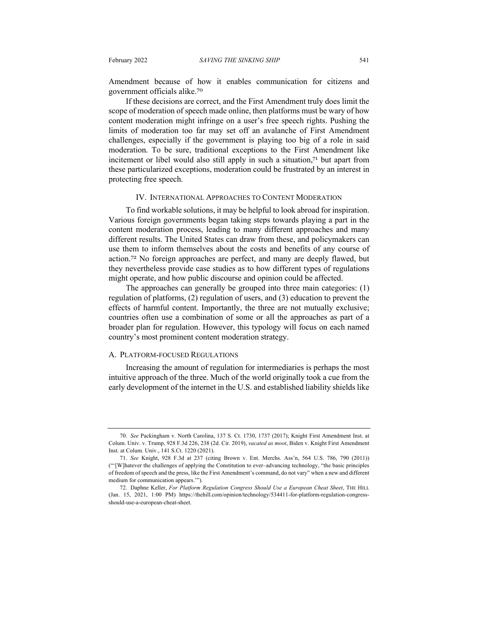Amendment because of how it enables communication for citizens and government officials alike.<sup>70</sup>

If these decisions are correct, and the First Amendment truly does limit the scope of moderation of speech made online, then platforms must be wary of how content moderation might infringe on a user's free speech rights. Pushing the limits of moderation too far may set off an avalanche of First Amendment challenges, especially if the government is playing too big of a role in said moderation. To be sure, traditional exceptions to the First Amendment like incitement or libel would also still apply in such a situation,<sup>71</sup> but apart from these particularized exceptions, moderation could be frustrated by an interest in protecting free speech.

#### IV. INTERNATIONAL APPROACHES TO CONTENT MODERATION

To find workable solutions, it may be helpful to look abroad for inspiration. Various foreign governments began taking steps towards playing a part in the content moderation process, leading to many different approaches and many different results. The United States can draw from these, and policymakers can use them to inform themselves about the costs and benefits of any course of action.<sup>72</sup> No foreign approaches are perfect, and many are deeply flawed, but they nevertheless provide case studies as to how different types of regulations might operate, and how public discourse and opinion could be affected.

The approaches can generally be grouped into three main categories: (1) regulation of platforms, (2) regulation of users, and (3) education to prevent the effects of harmful content. Importantly, the three are not mutually exclusive; countries often use a combination of some or all the approaches as part of a broader plan for regulation. However, this typology will focus on each named country's most prominent content moderation strategy.

#### A. PLATFORM-FOCUSED REGULATIONS

Increasing the amount of regulation for intermediaries is perhaps the most intuitive approach of the three. Much of the world originally took a cue from the early development of the internet in the U.S. and established liability shields like

<sup>70.</sup> *See* Packingham v. North Carolina, 137 S. Ct. 1730, 1737 (2017); Knight First Amendment Inst. at Colum. Univ. v. Trump, 928 F.3d 226, 238 (2d. Cir. 2019), *vacated as moot*, Biden v. Knight First Amendment Inst. at Colum. Univ., 141 S.Ct. 1220 (2021).

<sup>71.</sup> *See* Knight, 928 F.3d at 237 (citing Brown v. Ent. Merchs. Ass'n, 564 U.S. 786, 790 (2011)) ("'[W]hatever the challenges of applying the Constitution to ever–advancing technology, "the basic principles of freedom of speech and the press, like the First Amendment's command, do not vary" when a new and different medium for communication appears.'").

<sup>72.</sup> Daphne Keller, *For Platform Regulation Congress Should Use a European Cheat Sheet*, THE HILL (Jan. 15, 2021, 1:00 PM) https://thehill.com/opinion/technology/534411-for-platform-regulation-congressshould-use-a-european-cheat-sheet.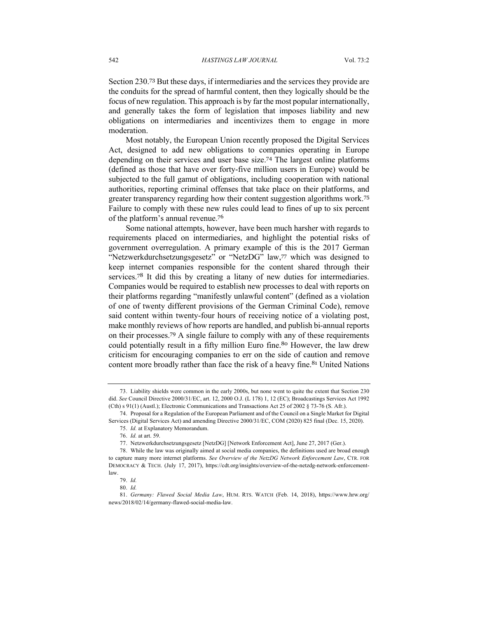Section 230.<sup>73</sup> But these days, if intermediaries and the services they provide are the conduits for the spread of harmful content, then they logically should be the focus of new regulation. This approach is by far the most popular internationally, and generally takes the form of legislation that imposes liability and new obligations on intermediaries and incentivizes them to engage in more moderation.

Most notably, the European Union recently proposed the Digital Services Act, designed to add new obligations to companies operating in Europe depending on their services and user base size.<sup>74</sup> The largest online platforms (defined as those that have over forty-five million users in Europe) would be subjected to the full gamut of obligations, including cooperation with national authorities, reporting criminal offenses that take place on their platforms, and greater transparency regarding how their content suggestion algorithms work.<sup>75</sup> Failure to comply with these new rules could lead to fines of up to six percent of the platform's annual revenue.<sup>76</sup>

Some national attempts, however, have been much harsher with regards to requirements placed on intermediaries, and highlight the potential risks of government overregulation. A primary example of this is the 2017 German "Netzwerkdurchsetzungsgesetz" or "NetzDG" law, <sup>77</sup> which was designed to keep internet companies responsible for the content shared through their services.<sup>78</sup> It did this by creating a litany of new duties for intermediaries. Companies would be required to establish new processes to deal with reports on their platforms regarding "manifestly unlawful content" (defined as a violation of one of twenty different provisions of the German Criminal Code), remove said content within twenty-four hours of receiving notice of a violating post, make monthly reviews of how reports are handled, and publish bi-annual reports on their processes.<sup>79</sup> A single failure to comply with any of these requirements could potentially result in a fifty million Euro fine.<sup>80</sup> However, the law drew criticism for encouraging companies to err on the side of caution and remove content more broadly rather than face the risk of a heavy fine.<sup>81</sup> United Nations

<sup>73.</sup> Liability shields were common in the early 2000s, but none went to quite the extent that Section 230 did. *See* Council Directive 2000/31/EC, art. 12, 2000 O.J. (L 178) 1, 12 (EC); Broadcastings Services Act 1992 (Cth) s 91(1) (Austl.); Electronic Communications and Transactions Act 25 of 2002 § 73-76 (S. Afr.).

<sup>74.</sup> Proposal for a Regulation of the European Parliament and of the Council on a Single Market for Digital Services (Digital Services Act) and amending Directive 2000/31/EC, COM (2020) 825 final (Dec. 15, 2020).

<sup>75.</sup> *Id.* at Explanatory Memorandum.

<sup>76.</sup> *Id.* at art. 59.

<sup>77.</sup> Netzwerkdurchsetzungsgesetz [NetzDG] [Network Enforcement Act], June 27, 2017 (Ger.).

<sup>78.</sup> While the law was originally aimed at social media companies, the definitions used are broad enough to capture many more internet platforms. *See Overview of the NetzDG Network Enforcement Law*, CTR. FOR DEMOCRACY & TECH. (July 17, 2017), https://cdt.org/insights/overview-of-the-netzdg-network-enforcementlaw.

<sup>79.</sup> *Id.*

<sup>80.</sup> *Id.*

<sup>81.</sup> *Germany: Flawed Social Media Law*, HUM. RTS. WATCH (Feb. 14, 2018), https://www.hrw.org/ news/2018/02/14/germany-flawed-social-media-law.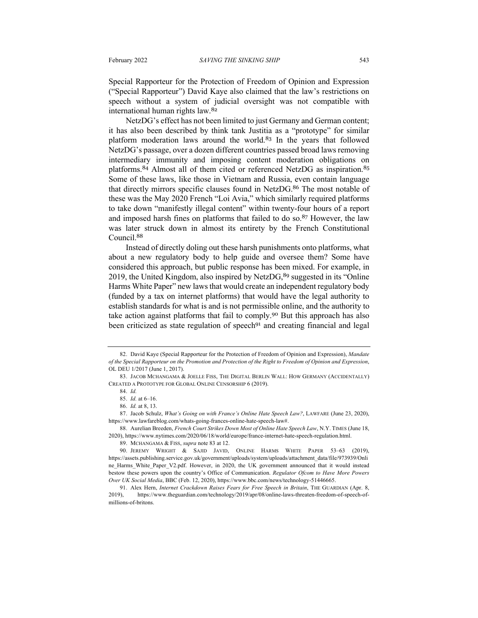Special Rapporteur for the Protection of Freedom of Opinion and Expression ("Special Rapporteur") David Kaye also claimed that the law's restrictions on speech without a system of judicial oversight was not compatible with international human rights law.<sup>82</sup>

NetzDG's effect has not been limited to just Germany and German content; it has also been described by think tank Justitia as a "prototype" for similar platform moderation laws around the world.<sup>83</sup> In the years that followed NetzDG's passage, over a dozen different countries passed broad laws removing intermediary immunity and imposing content moderation obligations on platforms.<sup>84</sup> Almost all of them cited or referenced NetzDG as inspiration.<sup>85</sup> Some of these laws, like those in Vietnam and Russia, even contain language that directly mirrors specific clauses found in NetzDG.<sup>86</sup> The most notable of these was the May 2020 French "Loi Avia," which similarly required platforms to take down "manifestly illegal content" within twenty-four hours of a report and imposed harsh fines on platforms that failed to do so.<sup>87</sup> However, the law was later struck down in almost its entirety by the French Constitutional Council.<sup>88</sup>

Instead of directly doling out these harsh punishments onto platforms, what about a new regulatory body to help guide and oversee them? Some have considered this approach, but public response has been mixed. For example, in 2019, the United Kingdom, also inspired by NetzDG, <sup>89</sup> suggested in its "Online" Harms White Paper" new laws that would create an independent regulatory body (funded by a tax on internet platforms) that would have the legal authority to establish standards for what is and is not permissible online, and the authority to take action against platforms that fail to comply.<sup>90</sup> But this approach has also been criticized as state regulation of speech<sup>91</sup> and creating financial and legal

88. Aurelian Breeden, *French Court Strikes Down Most of Online Hate Speech Law*, N.Y. TIMES (June 18, 2020), https://www.nytimes.com/2020/06/18/world/europe/france-internet-hate-speech-regulation.html.

89. MCHANGAMA & FISS, *supra* note 83 at 12.

<sup>82.</sup> David Kaye (Special Rapporteur for the Protection of Freedom of Opinion and Expression), *Mandate of the Special Rapporteur on the Promotion and Protection of the Right to Freedom of Opinion and Expression*, OL DEU 1/2017 (June 1, 2017).

<sup>83.</sup> JACOB MCHANGAMA & JOELLE FISS, THE DIGITAL BERLIN WALL: HOW GERMANY (ACCIDENTALLY) CREATED A PROTOTYPE FOR GLOBAL ONLINE CENSORSHIP 6 (2019).

<sup>84.</sup> *Id.*

<sup>85.</sup> *Id.* at 6–16.

<sup>86.</sup> *Id.* at 8, 13.

<sup>87.</sup> Jacob Schulz, *What's Going on with France's Online Hate Speech Law?*, LAWFARE (June 23, 2020), https://www.lawfareblog.com/whats-going-frances-online-hate-speech-law#.

<sup>90.</sup> JEREMY WRIGHT & SAJID JAVID, ONLINE HARMS WHITE PAPER 53–63 (2019), https://assets.publishing.service.gov.uk/government/uploads/system/uploads/attachment\_data/file/973939/Onli ne Harms White Paper V2.pdf. However, in 2020, the UK government announced that it would instead bestow these powers upon the country's Office of Communication. *Regulator Ofcom to Have More Powers Over UK Social Media*, BBC (Feb. 12, 2020), https://www.bbc.com/news/technology-51446665.

<sup>91.</sup> Alex Hern, *Internet Crackdown Raises Fears for Free Speech in Britain*, THE GUARDIAN (Apr. 8, 2019), https://www.theguardian.com/technology/2019/apr/08/online-laws-threaten-freedom-of-speech-ofmillions-of-britons.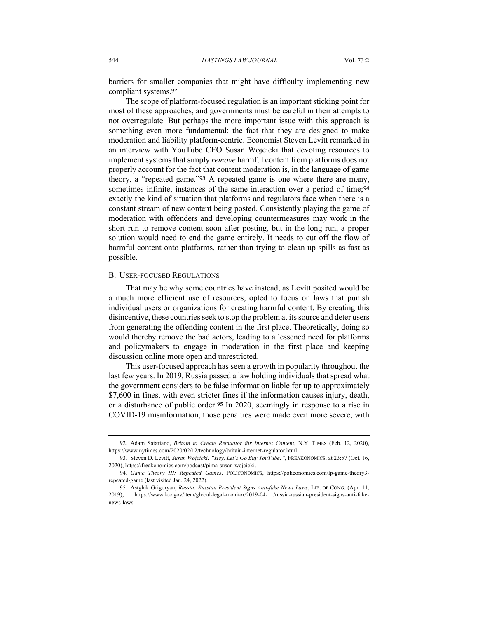barriers for smaller companies that might have difficulty implementing new compliant systems.<sup>92</sup>

The scope of platform-focused regulation is an important sticking point for most of these approaches, and governments must be careful in their attempts to not overregulate. But perhaps the more important issue with this approach is something even more fundamental: the fact that they are designed to make moderation and liability platform-centric. Economist Steven Levitt remarked in an interview with YouTube CEO Susan Wojcicki that devoting resources to implement systems that simply *remove* harmful content from platforms does not properly account for the fact that content moderation is, in the language of game theory, a "repeated game."<sup>93</sup> A repeated game is one where there are many, sometimes infinite, instances of the same interaction over a period of time;<sup>94</sup> exactly the kind of situation that platforms and regulators face when there is a constant stream of new content being posted. Consistently playing the game of moderation with offenders and developing countermeasures may work in the short run to remove content soon after posting, but in the long run, a proper solution would need to end the game entirely. It needs to cut off the flow of harmful content onto platforms, rather than trying to clean up spills as fast as possible.

#### B. USER-FOCUSED REGULATIONS

That may be why some countries have instead, as Levitt posited would be a much more efficient use of resources, opted to focus on laws that punish individual users or organizations for creating harmful content. By creating this disincentive, these countries seek to stop the problem at its source and deter users from generating the offending content in the first place. Theoretically, doing so would thereby remove the bad actors, leading to a lessened need for platforms and policymakers to engage in moderation in the first place and keeping discussion online more open and unrestricted.

This user-focused approach has seen a growth in popularity throughout the last few years. In 2019, Russia passed a law holding individuals that spread what the government considers to be false information liable for up to approximately \$7,600 in fines, with even stricter fines if the information causes injury, death, or a disturbance of public order.<sup>95</sup> In 2020, seemingly in response to a rise in COVID-19 misinformation, those penalties were made even more severe, with

<sup>92.</sup> Adam Satariano, *Britain to Create Regulator for Internet Content*, N.Y. TIMES (Feb. 12, 2020), https://www.nytimes.com/2020/02/12/technology/britain-internet-regulator.html.

<sup>93.</sup> Steven D. Levitt, *Susan Wojcicki: "Hey, Let's Go Buy YouTube!"*, FREAKONOMICS, at 23:57 (Oct. 16, 2020), https://freakonomics.com/podcast/pima-susan-wojcicki.

<sup>94.</sup> *Game Theory III: Repeated Games*, POLICONOMICS, https://policonomics.com/lp-game-theory3 repeated-game (last visited Jan. 24, 2022).

<sup>95.</sup> Astghik Grigoryan, *Russia: Russian President Signs Anti-fake News Laws*, LIB. OF CONG. (Apr. 11, 2019), https://www.loc.gov/item/global-legal-monitor/2019-04-11/russia-russian-president-signs-anti-fakenews-laws.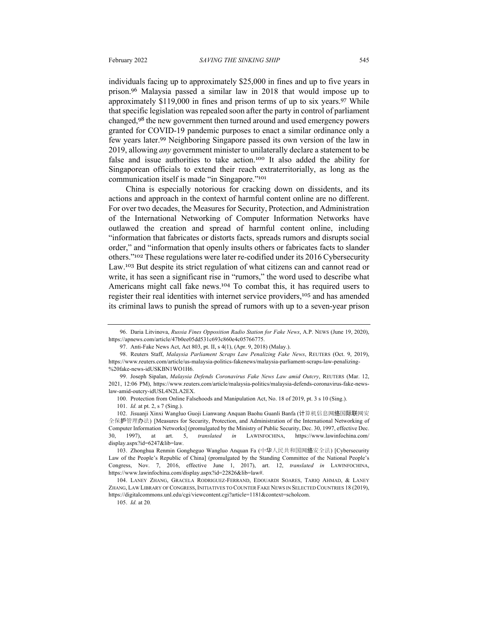individuals facing up to approximately \$25,000 in fines and up to five years in prison.<sup>96</sup> Malaysia passed a similar law in 2018 that would impose up to approximately \$119,000 in fines and prison terms of up to six years.<sup>97</sup> While that specific legislation was repealed soon after the party in control of parliament changed,<sup>98</sup> the new government then turned around and used emergency powers granted for COVID-19 pandemic purposes to enact a similar ordinance only a few years later.<sup>99</sup> Neighboring Singapore passed its own version of the law in 2019, allowing *any* government minister to unilaterally declare a statement to be false and issue authorities to take action.<sup>100</sup> It also added the ability for Singaporean officials to extend their reach extraterritorially, as long as the communication itself is made "in Singapore."<sup>101</sup>

China is especially notorious for cracking down on dissidents, and its actions and approach in the context of harmful content online are no different. For over two decades, the Measures for Security, Protection, and Administration of the International Networking of Computer Information Networks have outlawed the creation and spread of harmful content online, including "information that fabricates or distorts facts, spreads rumors and disrupts social order," and "information that openly insults others or fabricates facts to slander others."<sup>102</sup> These regulations were later re-codified under its 2016 Cybersecurity Law.<sup>103</sup> But despite its strict regulation of what citizens can and cannot read or write, it has seen a significant rise in "rumors," the word used to describe what Americans might call fake news.<sup>104</sup> To combat this, it has required users to register their real identities with internet service providers, <sup>105</sup> and has amended its criminal laws to punish the spread of rumors with up to a seven-year prison

<sup>96.</sup> Daria Litvinova, *Russia Fines Opposition Radio Station for Fake News*, A.P. NEWS (June 19, 2020), https://apnews.com/article/47b0ee05dd531c693c860e4c05766775.

<sup>97.</sup> Anti-Fake News Act, Act 803, pt. II, s 4(1), (Apr. 9, 2018) (Malay.).

<sup>98.</sup> Reuters Staff, *Malaysia Parliament Scraps Law Penalizing Fake News*, REUTERS (Oct. 9, 2019), https://www.reuters.com/article/us-malaysia-politics-fakenews/malaysia-parliament-scraps-law-penalizing- %20fake-news-idUSKBN1WO1H6.

<sup>99.</sup> Joseph Sipalan, *Malaysia Defends Coronavirus Fake News Law amid Outcry*, REUTERS (Mar. 12, 2021, 12:06 PM), https://www.reuters.com/article/malaysia-politics/malaysia-defends-coronavirus-fake-newslaw-amid-outcry-idUSL4N2LA2EX.

<sup>100.</sup> Protection from Online Falsehoods and Manipulation Act, No. 18 of 2019, pt. 3 s 10 (Sing.).

<sup>101.</sup> *Id.* at pt. 2, s 7 (Sing.).

<sup>102.</sup> Jisuanji Xinxi Wangluo Guoji Lianwang Anquan Baohu Guanli Banfa (计算机信息网络国际联网安 全保护管理办法) [Measures for Security, Protection, and Administration of the International Networking of Computer Information Networks] (promulgated by the Ministry of Public Security, Dec. 30, 1997, effective Dec. 30, 1997), at art. 5, *translated in* LAWINFOCHINA, https://www.lawinfochina.com/ display.aspx?id=6247&lib=law.

<sup>103.</sup> Zhonghua Renmin Gongheguo Wangluo Anquan Fa (中华人民共和国网络安全法) [Cybersecurity Law of the People's Republic of China] (promulgated by the Standing Committee of the National People's Congress, Nov. 7, 2016, effective June 1, 2017), art. 12, *translated in* LAWINFOCHINA, https://www.lawinfochina.com/display.aspx?id=22826&lib=law#.

<sup>104.</sup> LANEY ZHANG, GRACELA RODRIGUEZ-FERRAND, EDOUARDI SOARES, TARIQ AHMAD, & LANEY ZHANG, LAW LIBRARY OF CONGRESS, INITIATIVES TO COUNTER FAKE NEWS IN SELECTED COUNTRIES 18 (2019), https://digitalcommons.unl.edu/cgi/viewcontent.cgi?article=1181&context=scholcom.

<sup>105.</sup> *Id.* at 20*.*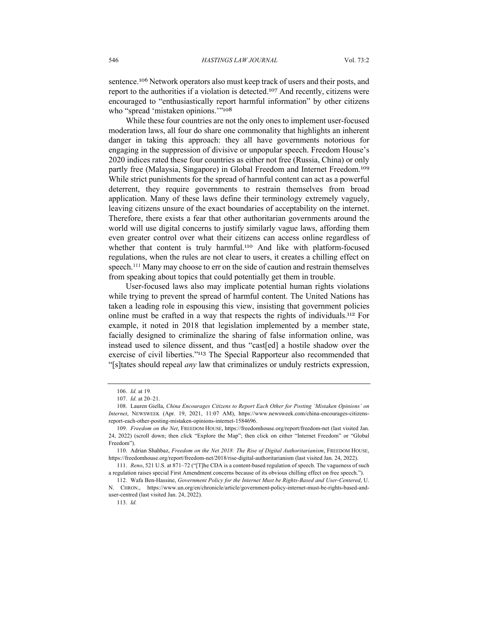sentence. <sup>106</sup> Network operators also must keep track of users and their posts, and report to the authorities if a violation is detected.<sup>107</sup> And recently, citizens were encouraged to "enthusiastically report harmful information" by other citizens who "spread 'mistaken opinions.'"<sup>108</sup>

While these four countries are not the only ones to implement user-focused moderation laws, all four do share one commonality that highlights an inherent danger in taking this approach: they all have governments notorious for engaging in the suppression of divisive or unpopular speech. Freedom House's 2020 indices rated these four countries as either not free (Russia, China) or only partly free (Malaysia, Singapore) in Global Freedom and Internet Freedom.<sup>109</sup> While strict punishments for the spread of harmful content can act as a powerful deterrent, they require governments to restrain themselves from broad application. Many of these laws define their terminology extremely vaguely, leaving citizens unsure of the exact boundaries of acceptability on the internet. Therefore, there exists a fear that other authoritarian governments around the world will use digital concerns to justify similarly vague laws, affording them even greater control over what their citizens can access online regardless of whether that content is truly harmful.<sup>110</sup> And like with platform-focused regulations, when the rules are not clear to users, it creates a chilling effect on speech.<sup>111</sup> Many may choose to err on the side of caution and restrain themselves from speaking about topics that could potentially get them in trouble.

User-focused laws also may implicate potential human rights violations while trying to prevent the spread of harmful content. The United Nations has taken a leading role in espousing this view, insisting that government policies online must be crafted in a way that respects the rights of individuals.<sup>112</sup> For example, it noted in 2018 that legislation implemented by a member state, facially designed to criminalize the sharing of false information online, was instead used to silence dissent, and thus "cast[ed] a hostile shadow over the exercise of civil liberties."<sup>113</sup> The Special Rapporteur also recommended that "[s]tates should repeal *any* law that criminalizes or unduly restricts expression,

<sup>106.</sup> *Id.* at 19*.*

<sup>107.</sup> *Id.* at 20–21.

<sup>108.</sup> Lauren Giella, *China Encourages Citizens to Report Each Other for Posting 'Mistaken Opinions' on Internet*, NEWSWEEK (Apr. 19, 2021, 11:07 AM), https://www.newsweek.com/china-encourages-citizensreport-each-other-posting-mistaken-opinions-internet-1584696.

<sup>109.</sup> *Freedom on the Net*, FREEDOM HOUSE, https://freedomhouse.org/report/freedom-net (last visited Jan. 24, 2022) (scroll down; then click "Explore the Map"; then click on either "Internet Freedom" or "Global Freedom").

<sup>110.</sup> Adrian Shahbaz, *Freedom on the Net 2018: The Rise of Digital Authoritarianism*, FREEDOM HOUSE, https://freedomhouse.org/report/freedom-net/2018/rise-digital-authoritarianism (last visited Jan. 24, 2022).

<sup>111</sup>. *Reno*, 521 U.S. at 871–72 ("[T]he CDA is a content-based regulation of speech. The vagueness of such a regulation raises special First Amendment concerns because of its obvious chilling effect on free speech.").

<sup>112.</sup> Wafa Ben-Hassine, *Government Policy for the Internet Must be Rights-Based and User-Centered*, U. N. CHRON., https://www.un.org/en/chronicle/article/government-policy-internet-must-be-rights-based-anduser-centred (last visited Jan. 24, 2022).

<sup>113.</sup> *Id.*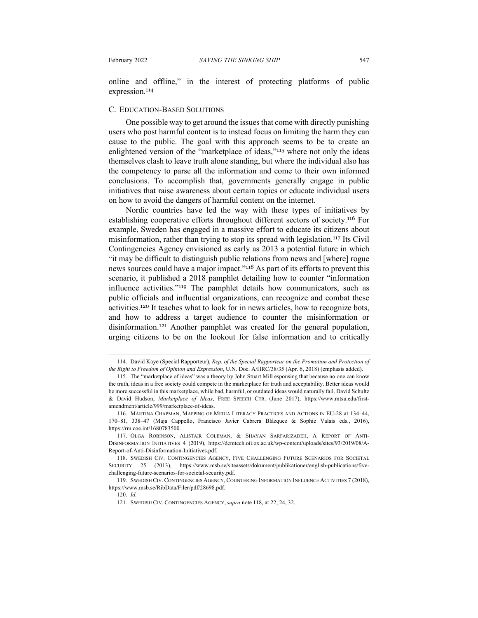online and offline," in the interest of protecting platforms of public expression.<sup>114</sup>

#### C. EDUCATION-BASED SOLUTIONS

One possible way to get around the issues that come with directly punishing users who post harmful content is to instead focus on limiting the harm they can cause to the public. The goal with this approach seems to be to create an enlightened version of the "marketplace of ideas,"<sup>115</sup> where not only the ideas themselves clash to leave truth alone standing, but where the individual also has the competency to parse all the information and come to their own informed conclusions. To accomplish that, governments generally engage in public initiatives that raise awareness about certain topics or educate individual users on how to avoid the dangers of harmful content on the internet.

Nordic countries have led the way with these types of initiatives by establishing cooperative efforts throughout different sectors of society.<sup>116</sup> For example, Sweden has engaged in a massive effort to educate its citizens about misinformation, rather than trying to stop its spread with legislation.<sup>117</sup> Its Civil Contingencies Agency envisioned as early as 2013 a potential future in which "it may be difficult to distinguish public relations from news and [where] rogue news sources could have a major impact."<sup>118</sup> As part of its efforts to prevent this scenario, it published a 2018 pamphlet detailing how to counter "information influence activities."<sup>119</sup> The pamphlet details how communicators, such as public officials and influential organizations, can recognize and combat these activities.<sup>120</sup> It teaches what to look for in news articles, how to recognize bots, and how to address a target audience to counter the misinformation or disinformation.<sup>121</sup> Another pamphlet was created for the general population, urging citizens to be on the lookout for false information and to critically

<sup>114.</sup> David Kaye (Special Rapporteur), *Rep. of the Special Rapporteur on the Promotion and Protection of the Right to Freedom of Opinion and Expression*, U.N. Doc. A/HRC/38/35 (Apr. 6, 2018) (emphasis added).

<sup>115.</sup> The "marketplace of ideas" was a theory by John Stuart Mill espousing that because no one can know the truth, ideas in a free society could compete in the marketplace for truth and acceptability. Better ideas would be more successful in this marketplace, while bad, harmful, or outdated ideas would naturally fail. David Schultz & David Hudson, *Marketplace of Ideas*, FREE SPEECH CTR. (June 2017), https://www.mtsu.edu/firstamendment/article/999/marketplace-of-ideas.

<sup>116.</sup> MARTINA CHAPMAN, MAPPING OF MEDIA LITERACY PRACTICES AND ACTIONS IN EU-28 at 134–44, 170–81, 338–47 (Maja Cappello, Francisco Javier Cabrera Blázquez & Sophie Valais eds., 2016), https://rm.coe.int/1680783500.

<sup>117.</sup> OLGA ROBINSON, ALISTAIR COLEMAN, & SHAYAN SARFARIZADEH, A REPORT OF ANTI-DISINFORMATION INITIATIVES 4 (2019), https://demtech.oii.ox.ac.uk/wp-content/uploads/sites/93/2019/08/A-Report-of-Anti-Disinformation-Initiatives.pdf.

<sup>118.</sup> SWEDISH CIV. CONTINGENCIES AGENCY, FIVE CHALLENGING FUTURE SCENARIOS FOR SOCIETAL SECURITY 25 (2013), https://www.msb.se/siteassets/dokument/publikationer/english-publications/fivechallenging-future-scenarios-for-societal-security.pdf.

<sup>119.</sup> SWEDISH CIV. CONTINGENCIES AGENCY, COUNTERING INFORMATION INFLUENCE ACTIVITIES 7 (2018), https://www.msb.se/RibData/Filer/pdf/28698.pdf.

<sup>120.</sup> *Id.*

<sup>121.</sup> SWEDISH CIV. CONTINGENCIES AGENCY, *supra* note 118, at 22, 24, 32.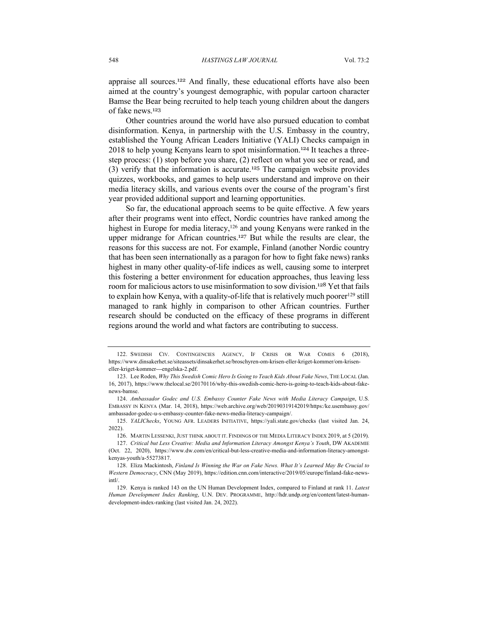appraise all sources.<sup>122</sup> And finally, these educational efforts have also been aimed at the country's youngest demographic, with popular cartoon character Bamse the Bear being recruited to help teach young children about the dangers of fake news.<sup>123</sup>

Other countries around the world have also pursued education to combat disinformation. Kenya, in partnership with the U.S. Embassy in the country, established the Young African Leaders Initiative (YALI) Checks campaign in 2018 to help young Kenyans learn to spot misinformation.<sup>124</sup> It teaches a threestep process: (1) stop before you share, (2) reflect on what you see or read, and (3) verify that the information is accurate.<sup>125</sup> The campaign website provides quizzes, workbooks, and games to help users understand and improve on their media literacy skills, and various events over the course of the program's first year provided additional support and learning opportunities.

So far, the educational approach seems to be quite effective. A few years after their programs went into effect, Nordic countries have ranked among the highest in Europe for media literacy, <sup>126</sup> and young Kenyans were ranked in the upper midrange for African countries.<sup>127</sup> But while the results are clear, the reasons for this success are not. For example, Finland (another Nordic country that has been seen internationally as a paragon for how to fight fake news) ranks highest in many other quality-of-life indices as well, causing some to interpret this fostering a better environment for education approaches, thus leaving less room for malicious actors to use misinformation to sow division.<sup>128</sup> Yet that fails to explain how Kenya, with a quality-of-life that is relatively much poorer<sup>129</sup> still managed to rank highly in comparison to other African countries. Further research should be conducted on the efficacy of these programs in different regions around the world and what factors are contributing to success.

<sup>122.</sup> SWEDISH CIV. CONTINGENCIES AGENCY, IF CRISIS OR WAR COMES 6 (2018), https://www.dinsakerhet.se/siteassets/dinsakerhet.se/broschyren-om-krisen-eller-kriget-kommer/om-kriseneller-kriget-kommer---engelska-2.pdf.

<sup>123.</sup> Lee Roden, *Why This Swedish Comic Hero Is Going to Teach Kids About Fake News*, THE LOCAL (Jan. 16, 2017), https://www.thelocal.se/20170116/why-this-swedish-comic-hero-is-going-to-teach-kids-about-fakenews-bamse.

<sup>124.</sup> *Ambassador Godec and U.S. Embassy Counter Fake News with Media Literacy Campaign*, U.S. EMBASSY IN KENYA (Mar. 14, 2018), https://web.archive.org/web/20190319142019/https:/ke.usembassy.gov/ ambassador-godec-u-s-embassy-counter-fake-news-media-literacy-campaign/.

<sup>125.</sup> *YALIChecks*, YOUNG AFR. LEADERS INITIATIVE, https://yali.state.gov/checks (last visited Jan. 24, 2022).

<sup>126</sup>. MARTIN LESSENKI, JUST THINK ABOUT IT. FINDINGS OF THE MEDIA LITERACY INDEX 2019, at 5 (2019).

<sup>127.</sup> *Critical but Less Creative: Media and Information Literacy Amongst Kenya's Youth*, DW AKADEMIE (Oct. 22, 2020), https://www.dw.com/en/critical-but-less-creative-media-and-information-literacy-amongstkenyas-youth/a-55273817.

<sup>128.</sup> Eliza Mackintosh, *Finland Is Winning the War on Fake News. What It's Learned May Be Crucial to Western Democracy*, CNN (May 2019), https://edition.cnn.com/interactive/2019/05/europe/finland-fake-newsintl/.

<sup>129.</sup> Kenya is ranked 143 on the UN Human Development Index, compared to Finland at rank 11. *Latest Human Development Index Ranking*, U.N. DEV. PROGRAMME, http://hdr.undp.org/en/content/latest-humandevelopment-index-ranking (last visited Jan. 24, 2022).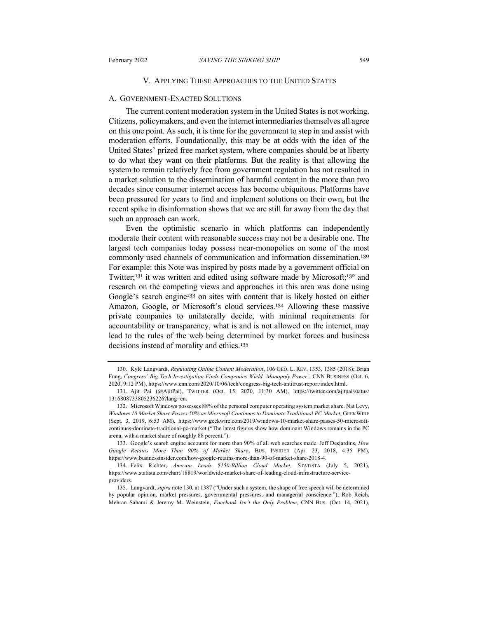#### V. APPLYING THESE APPROACHES TO THE UNITED STATES

#### A. GOVERNMENT-ENACTED SOLUTIONS

The current content moderation system in the United States is not working. Citizens, policymakers, and even the internet intermediaries themselves all agree on this one point. As such, it is time for the government to step in and assist with moderation efforts. Foundationally, this may be at odds with the idea of the United States' prized free market system, where companies should be at liberty to do what they want on their platforms. But the reality is that allowing the system to remain relatively free from government regulation has not resulted in a market solution to the dissemination of harmful content in the more than two decades since consumer internet access has become ubiquitous. Platforms have been pressured for years to find and implement solutions on their own, but the recent spike in disinformation shows that we are still far away from the day that such an approach can work.

Even the optimistic scenario in which platforms can independently moderate their content with reasonable success may not be a desirable one. The largest tech companies today possess near-monopolies on some of the most commonly used channels of communication and information dissemination.<sup>130</sup> For example: this Note was inspired by posts made by a government official on Twitter;<sup>131</sup> it was written and edited using software made by Microsoft;<sup>132</sup> and research on the competing views and approaches in this area was done using Google's search engine<sup>133</sup> on sites with content that is likely hosted on either Amazon, Google, or Microsoft's cloud services.<sup>134</sup> Allowing these massive private companies to unilaterally decide, with minimal requirements for accountability or transparency, what is and is not allowed on the internet, may lead to the rules of the web being determined by market forces and business decisions instead of morality and ethics.<sup>135</sup>

<sup>130.</sup> Kyle Langvardt, *Regulating Online Content Moderation*, 106 GEO. L. REV. 1353, 1385 (2018); Brian Fung, *Congress' Big Tech Investigation Finds Companies Wield 'Monopoly Power'*, CNN BUSINESS (Oct. 6, 2020, 9:12 PM), https://www.cnn.com/2020/10/06/tech/congress-big-tech-antitrust-report/index.html.

<sup>131.</sup> Ajit Pai (@AjitPai), TWITTER (Oct. 15, 2020, 11:30 AM), https://twitter.com/ajitpai/status/ 1316808733805236226?lang=en.

<sup>132.</sup> Microsoft Windows possesses 88% of the personal computer operating system market share. Nat Levy, *Windows 10 Market Share Passes 50% as Microsoft Continues to Dominate Traditional PC Market*, GEEKWIRE (Sept. 3, 2019, 6:53 AM), https://www.geekwire.com/2019/windows-10-market-share-passes-50-microsoftcontinues-dominate-traditional-pc-market ("The latest figures show how dominant Windows remains in the PC arena, with a market share of roughly 88 percent.").

<sup>133.</sup> Google's search engine accounts for more than 90% of all web searches made. Jeff Desjardins, *How Google Retains More Than 90% of Market Share*, BUS. INSIDER (Apr. 23, 2018, 4:35 PM), https://www.businessinsider.com/how-google-retains-more-than-90-of-market-share-2018-4.

<sup>134.</sup> Felix Richter, *Amazon Leads \$150-Billion Cloud Market*, STATISTA (July 5, 2021), https://www.statista.com/chart/18819/worldwide-market-share-of-leading-cloud-infrastructure-serviceproviders.

<sup>135.</sup> Langvardt, *supra* note 130, at 1387 ("Under such a system, the shape of free speech will be determined by popular opinion, market pressures, governmental pressures, and managerial conscience."); Rob Reich, Mehran Sahami & Jeremy M. Weinstein, *Facebook Isn't the Only Problem*, CNN BUS. (Oct. 14, 2021),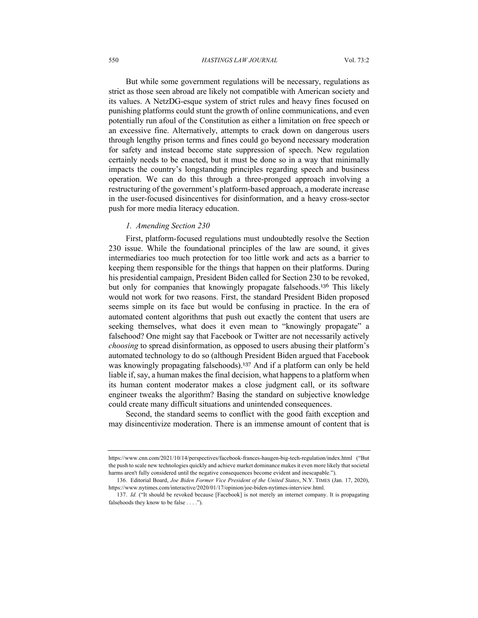#### 550 *HASTINGS LAW JOURNAL* Vol. 73:2

But while some government regulations will be necessary, regulations as strict as those seen abroad are likely not compatible with American society and its values. A NetzDG-esque system of strict rules and heavy fines focused on punishing platforms could stunt the growth of online communications, and even potentially run afoul of the Constitution as either a limitation on free speech or an excessive fine. Alternatively, attempts to crack down on dangerous users through lengthy prison terms and fines could go beyond necessary moderation for safety and instead become state suppression of speech. New regulation certainly needs to be enacted, but it must be done so in a way that minimally impacts the country's longstanding principles regarding speech and business operation. We can do this through a three-pronged approach involving a restructuring of the government's platform-based approach, a moderate increase in the user-focused disincentives for disinformation, and a heavy cross-sector push for more media literacy education.

### *1. Amending Section 230*

First, platform-focused regulations must undoubtedly resolve the Section 230 issue. While the foundational principles of the law are sound, it gives intermediaries too much protection for too little work and acts as a barrier to keeping them responsible for the things that happen on their platforms. During his presidential campaign, President Biden called for Section 230 to be revoked, but only for companies that knowingly propagate falsehoods.<sup>136</sup> This likely would not work for two reasons. First, the standard President Biden proposed seems simple on its face but would be confusing in practice. In the era of automated content algorithms that push out exactly the content that users are seeking themselves, what does it even mean to "knowingly propagate" a falsehood? One might say that Facebook or Twitter are not necessarily actively *choosing* to spread disinformation, as opposed to users abusing their platform's automated technology to do so (although President Biden argued that Facebook was knowingly propagating falsehoods).<sup>137</sup> And if a platform can only be held liable if, say, a human makes the final decision, what happens to a platform when its human content moderator makes a close judgment call, or its software engineer tweaks the algorithm? Basing the standard on subjective knowledge could create many difficult situations and unintended consequences.

Second, the standard seems to conflict with the good faith exception and may disincentivize moderation. There is an immense amount of content that is

https://www.cnn.com/2021/10/14/perspectives/facebook-frances-haugen-big-tech-regulation/index.html ("But the push to scale new technologies quickly and achieve market dominance makes it even more likely that societal harms aren't fully considered until the negative consequences become evident and inescapable.").

<sup>136.</sup> Editorial Board, *Joe Biden Former Vice President of the United States*, N.Y. TIMES (Jan. 17, 2020), https://www.nytimes.com/interactive/2020/01/17/opinion/joe-biden-nytimes-interview.html.

<sup>137.</sup> *Id.* ("It should be revoked because [Facebook] is not merely an internet company. It is propagating falsehoods they know to be false . . . .").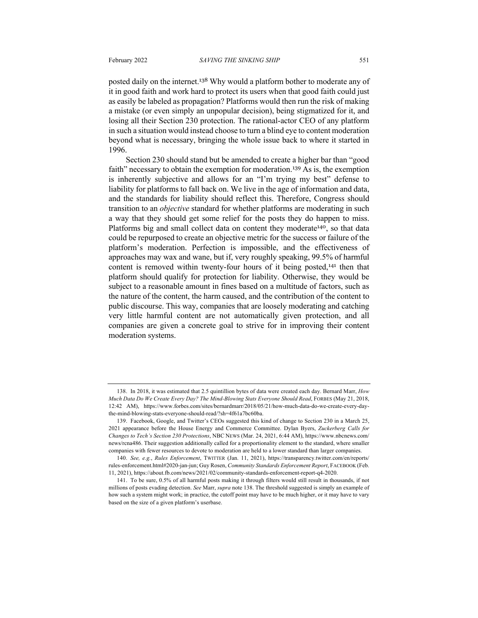posted daily on the internet.<sup>138</sup> Why would a platform bother to moderate any of it in good faith and work hard to protect its users when that good faith could just as easily be labeled as propagation? Platforms would then run the risk of making a mistake (or even simply an unpopular decision), being stigmatized for it, and losing all their Section 230 protection. The rational-actor CEO of any platform in such a situation would instead choose to turn a blind eye to content moderation beyond what is necessary, bringing the whole issue back to where it started in 1996.

Section 230 should stand but be amended to create a higher bar than "good faith" necessary to obtain the exemption for moderation.<sup>139</sup> As is, the exemption is inherently subjective and allows for an "I'm trying my best" defense to liability for platforms to fall back on. We live in the age of information and data, and the standards for liability should reflect this. Therefore, Congress should transition to an *objective* standard for whether platforms are moderating in such a way that they should get some relief for the posts they do happen to miss. Platforms big and small collect data on content they moderate<sup>140</sup>, so that data could be repurposed to create an objective metric for the success or failure of the platform's moderation. Perfection is impossible, and the effectiveness of approaches may wax and wane, but if, very roughly speaking, 99.5% of harmful content is removed within twenty-four hours of it being posted,<sup>141</sup> then that platform should qualify for protection for liability. Otherwise, they would be subject to a reasonable amount in fines based on a multitude of factors, such as the nature of the content, the harm caused, and the contribution of the content to public discourse. This way, companies that are loosely moderating and catching very little harmful content are not automatically given protection, and all companies are given a concrete goal to strive for in improving their content moderation systems.

<sup>138.</sup> In 2018, it was estimated that 2.5 quintillion bytes of data were created each day. Bernard Marr, *How Much Data Do We Create Every Day? The Mind-Blowing Stats Everyone Should Read*, FORBES (May 21, 2018, 12:42 AM), https://www.forbes.com/sites/bernardmarr/2018/05/21/how-much-data-do-we-create-every-daythe-mind-blowing-stats-everyone-should-read/?sh=4f61a7bc60ba.

<sup>139.</sup> Facebook, Google, and Twitter's CEOs suggested this kind of change to Section 230 in a March 25, 2021 appearance before the House Energy and Commerce Committee. Dylan Byers, *Zuckerberg Calls for Changes to Tech's Section 230 Protections*, NBC NEWS (Mar. 24, 2021, 6:44 AM), https://www.nbcnews.com/ news/rcna486. Their suggestion additionally called for a proportionality element to the standard, where smaller companies with fewer resources to devote to moderation are held to a lower standard than larger companies.

<sup>140.</sup> *See, e.g.*, *Rules Enforcement*, TWITTER (Jan. 11, 2021), https://transparency.twitter.com/en/reports/ rules-enforcement.html#2020-jan-jun; Guy Rosen, *Community Standards Enforcement Report*, FACEBOOK (Feb. 11, 2021), https://about.fb.com/news/2021/02/community-standards-enforcement-report-q4-2020.

<sup>141.</sup> To be sure, 0.5% of all harmful posts making it through filters would still result in thousands, if not millions of posts evading detection. *See* Marr, *supra* note 138. The threshold suggested is simply an example of how such a system might work; in practice, the cutoff point may have to be much higher, or it may have to vary based on the size of a given platform's userbase.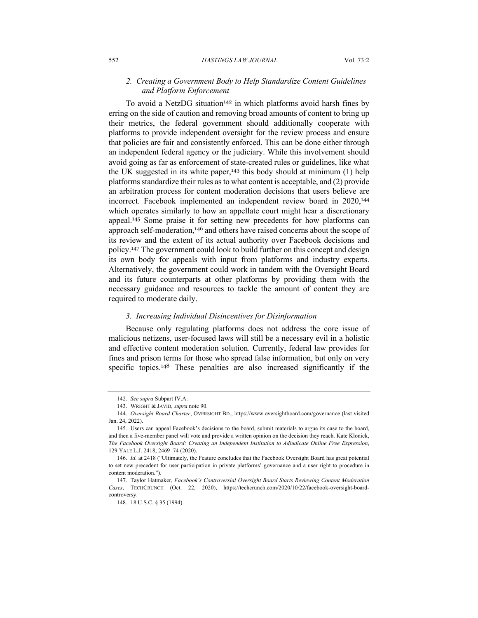### *2. Creating a Government Body to Help Standardize Content Guidelines and Platform Enforcement*

To avoid a NetzDG situation<sup>142</sup> in which platforms avoid harsh fines by erring on the side of caution and removing broad amounts of content to bring up their metrics, the federal government should additionally cooperate with platforms to provide independent oversight for the review process and ensure that policies are fair and consistently enforced. This can be done either through an independent federal agency or the judiciary. While this involvement should avoid going as far as enforcement of state-created rules or guidelines, like what the UK suggested in its white paper,<sup>143</sup> this body should at minimum  $(1)$  help platforms standardize their rules as to what content is acceptable, and (2) provide an arbitration process for content moderation decisions that users believe are incorrect. Facebook implemented an independent review board in 2020,<sup>144</sup> which operates similarly to how an appellate court might hear a discretionary appeal.<sup>145</sup> Some praise it for setting new precedents for how platforms can approach self-moderation,<sup>146</sup> and others have raised concerns about the scope of its review and the extent of its actual authority over Facebook decisions and policy.<sup>147</sup> The government could look to build further on this concept and design its own body for appeals with input from platforms and industry experts. Alternatively, the government could work in tandem with the Oversight Board and its future counterparts at other platforms by providing them with the necessary guidance and resources to tackle the amount of content they are required to moderate daily.

#### *3. Increasing Individual Disincentives for Disinformation*

Because only regulating platforms does not address the core issue of malicious netizens, user-focused laws will still be a necessary evil in a holistic and effective content moderation solution. Currently, federal law provides for fines and prison terms for those who spread false information, but only on very specific topics.<sup>148</sup> These penalties are also increased significantly if the

<sup>142.</sup> *See supra* Subpart IV.A.

<sup>143.</sup> WRIGHT & JAVID, *supra* note 90.

<sup>144.</sup> *Oversight Board Charter*, OVERSIGHT BD., https://www.oversightboard.com/governance (last visited Jan. 24, 2022).

<sup>145.</sup> Users can appeal Facebook's decisions to the board, submit materials to argue its case to the board, and then a five-member panel will vote and provide a written opinion on the decision they reach. Kate Klonick, *The Facebook Oversight Board: Creating an Independent Institution to Adjudicate Online Free Expression*, 129 YALE L.J. 2418, 2469–74 (2020).

<sup>146.</sup> *Id.* at 2418 ("Ultimately, the Feature concludes that the Facebook Oversight Board has great potential to set new precedent for user participation in private platforms' governance and a user right to procedure in content moderation.").

<sup>147.</sup> Taylor Hatmaker, *Facebook's Controversial Oversight Board Starts Reviewing Content Moderation Cases*, TECHCRUNCH (Oct. 22, 2020), https://techcrunch.com/2020/10/22/facebook-oversight-boardcontroversy.

<sup>148.</sup> 18 U.S.C. § 35 (1994).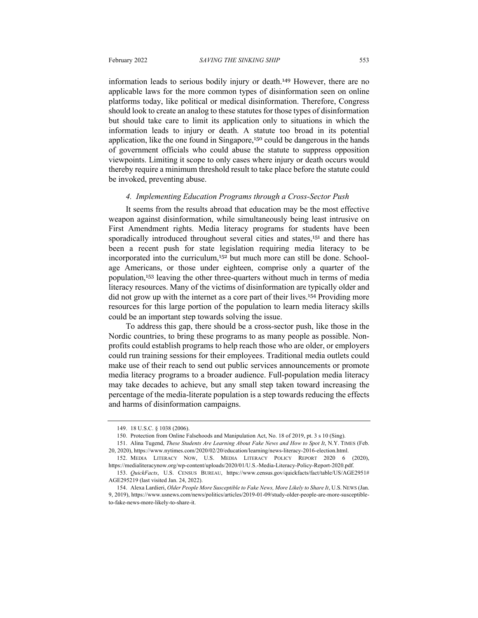information leads to serious bodily injury or death.<sup>149</sup> However, there are no applicable laws for the more common types of disinformation seen on online platforms today, like political or medical disinformation. Therefore, Congress should look to create an analog to these statutes for those types of disinformation but should take care to limit its application only to situations in which the information leads to injury or death. A statute too broad in its potential application, like the one found in Singapore,<sup>150</sup> could be dangerous in the hands of government officials who could abuse the statute to suppress opposition viewpoints. Limiting it scope to only cases where injury or death occurs would thereby require a minimum threshold result to take place before the statute could be invoked, preventing abuse.

#### *4. Implementing Education Programs through a Cross-Sector Push*

It seems from the results abroad that education may be the most effective weapon against disinformation, while simultaneously being least intrusive on First Amendment rights. Media literacy programs for students have been sporadically introduced throughout several cities and states,<sup>151</sup> and there has been a recent push for state legislation requiring media literacy to be incorporated into the curriculum, <sup>152</sup> but much more can still be done. Schoolage Americans, or those under eighteen, comprise only a quarter of the population,<sup>153</sup> leaving the other three-quarters without much in terms of media literacy resources. Many of the victims of disinformation are typically older and did not grow up with the internet as a core part of their lives.<sup>154</sup> Providing more resources for this large portion of the population to learn media literacy skills could be an important step towards solving the issue.

To address this gap, there should be a cross-sector push, like those in the Nordic countries, to bring these programs to as many people as possible. Nonprofits could establish programs to help reach those who are older, or employers could run training sessions for their employees. Traditional media outlets could make use of their reach to send out public services announcements or promote media literacy programs to a broader audience. Full-population media literacy may take decades to achieve, but any small step taken toward increasing the percentage of the media-literate population is a step towards reducing the effects and harms of disinformation campaigns.

<sup>149.</sup> 18 U.S.C. § 1038 (2006).

<sup>150.</sup> Protection from Online Falsehoods and Manipulation Act, No. 18 of 2019, pt. 3 s 10 (Sing).

<sup>151.</sup> Alina Tugend, *These Students Are Learning About Fake News and How to Spot It*, N.Y. TIMES (Feb. 20, 2020), https://www.nytimes.com/2020/02/20/education/learning/news-literacy-2016-election.html.

<sup>152.</sup> MEDIA LITERACY NOW, U.S. MEDIA LITERACY POLICY REPORT 2020 6 (2020), https://medialiteracynow.org/wp-content/uploads/2020/01/U.S.-Media-Literacy-Policy-Report-2020.pdf.

<sup>153.</sup> *QuickFacts*, U.S. CENSUS BUREAU, https://www.census.gov/quickfacts/fact/table/US/AGE2951# AGE295219 (last visited Jan. 24, 2022).

<sup>154.</sup> Alexa Lardieri, *Older People More Susceptible to Fake News, More Likely to Share It*, U.S. NEWS (Jan. 9, 2019), https://www.usnews.com/news/politics/articles/2019-01-09/study-older-people-are-more-susceptibleto-fake-news-more-likely-to-share-it.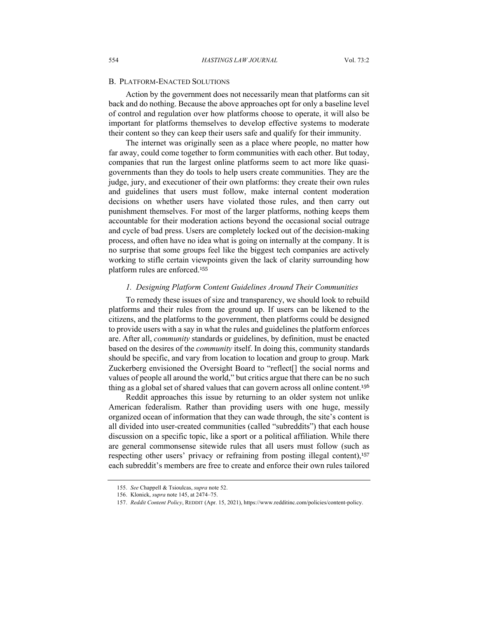#### B. PLATFORM-ENACTED SOLUTIONS

Action by the government does not necessarily mean that platforms can sit back and do nothing. Because the above approaches opt for only a baseline level of control and regulation over how platforms choose to operate, it will also be important for platforms themselves to develop effective systems to moderate their content so they can keep their users safe and qualify for their immunity.

The internet was originally seen as a place where people, no matter how far away, could come together to form communities with each other. But today, companies that run the largest online platforms seem to act more like quasigovernments than they do tools to help users create communities. They are the judge, jury, and executioner of their own platforms: they create their own rules and guidelines that users must follow, make internal content moderation decisions on whether users have violated those rules, and then carry out punishment themselves. For most of the larger platforms, nothing keeps them accountable for their moderation actions beyond the occasional social outrage and cycle of bad press. Users are completely locked out of the decision-making process, and often have no idea what is going on internally at the company. It is no surprise that some groups feel like the biggest tech companies are actively working to stifle certain viewpoints given the lack of clarity surrounding how platform rules are enforced.<sup>155</sup>

#### *1. Designing Platform Content Guidelines Around Their Communities*

To remedy these issues of size and transparency, we should look to rebuild platforms and their rules from the ground up. If users can be likened to the citizens, and the platforms to the government, then platforms could be designed to provide users with a say in what the rules and guidelines the platform enforces are. After all, *community* standards or guidelines, by definition, must be enacted based on the desires of the *community* itself. In doing this, community standards should be specific, and vary from location to location and group to group. Mark Zuckerberg envisioned the Oversight Board to "reflect[] the social norms and values of people all around the world," but critics argue that there can be no such thing as a global set of shared values that can govern across all online content.<sup>156</sup>

Reddit approaches this issue by returning to an older system not unlike American federalism. Rather than providing users with one huge, messily organized ocean of information that they can wade through, the site's content is all divided into user-created communities (called "subreddits") that each house discussion on a specific topic, like a sport or a political affiliation. While there are general commonsense sitewide rules that all users must follow (such as respecting other users' privacy or refraining from posting illegal content),<sup>157</sup> each subreddit's members are free to create and enforce their own rules tailored

<sup>155.</sup> *See* Chappell & Tsioulcas, *supra* note 52.

<sup>156.</sup> Klonick, *supra* note 145, at 2474–75.

<sup>157.</sup> *Reddit Content Policy*, REDDIT (Apr. 15, 2021), https://www.redditinc.com/policies/content-policy.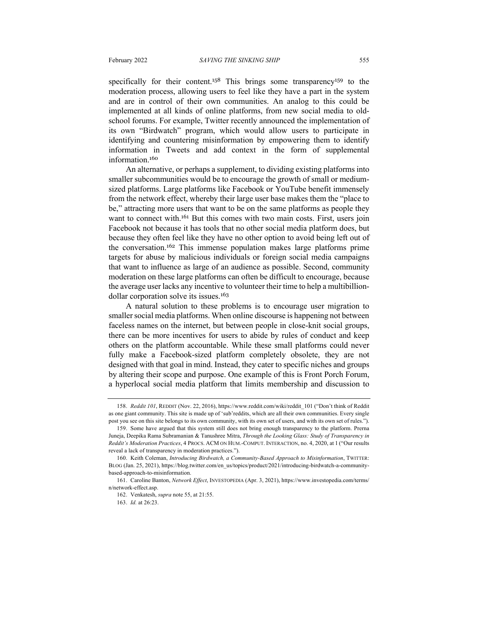specifically for their content.<sup>158</sup> This brings some transparency<sup>159</sup> to the moderation process, allowing users to feel like they have a part in the system and are in control of their own communities. An analog to this could be implemented at all kinds of online platforms, from new social media to oldschool forums. For example, Twitter recently announced the implementation of its own "Birdwatch" program, which would allow users to participate in identifying and countering misinformation by empowering them to identify information in Tweets and add context in the form of supplemental information.<sup>160</sup>

An alternative, or perhaps a supplement, to dividing existing platforms into smaller subcommunities would be to encourage the growth of small or mediumsized platforms. Large platforms like Facebook or YouTube benefit immensely from the network effect, whereby their large user base makes them the "place to be," attracting more users that want to be on the same platforms as people they want to connect with.<sup>161</sup> But this comes with two main costs. First, users join Facebook not because it has tools that no other social media platform does, but because they often feel like they have no other option to avoid being left out of the conversation.<sup>162</sup> This immense population makes large platforms prime targets for abuse by malicious individuals or foreign social media campaigns that want to influence as large of an audience as possible. Second, community moderation on these large platforms can often be difficult to encourage, because the average user lacks any incentive to volunteer their time to help a multibilliondollar corporation solve its issues.<sup>163</sup>

A natural solution to these problems is to encourage user migration to smaller social media platforms. When online discourse is happening not between faceless names on the internet, but between people in close-knit social groups, there can be more incentives for users to abide by rules of conduct and keep others on the platform accountable. While these small platforms could never fully make a Facebook-sized platform completely obsolete, they are not designed with that goal in mind. Instead, they cater to specific niches and groups by altering their scope and purpose. One example of this is Front Porch Forum, a hyperlocal social media platform that limits membership and discussion to

<sup>158.</sup> *Reddit 101*, REDDIT (Nov. 22, 2016), https://www.reddit.com/wiki/reddit\_101 ("Don't think of Reddit as one giant community. This site is made up of 'sub'reddits, which are all their own communities. Every single post you see on this site belongs to its own community, with its own set of users, and with its own set of rules.").

<sup>159.</sup> Some have argued that this system still does not bring enough transparency to the platform. Prerna Juneja, Deepika Rama Subramanian & Tanushree Mitra, *Through the Looking Glass: Study of Transparency in Reddit's Moderation Practices*, 4 PROCS. ACM ON HUM.-COMPUT. INTERACTION, no. 4, 2020, at 1 ("Our results reveal a lack of transparency in moderation practices.").

<sup>160.</sup> Keith Coleman, *Introducing Birdwatch, a Community-Based Approach to Misinformation*, TWITTER: BLOG (Jan. 25, 2021), https://blog.twitter.com/en\_us/topics/product/2021/introducing-birdwatch-a-communitybased-approach-to-misinformation.

<sup>161.</sup> Caroline Banton, *Network Effect*, INVESTOPEDIA (Apr. 3, 2021), https://www.investopedia.com/terms/ n/network-effect.asp.

<sup>162.</sup> Venkatesh, *supra* note 55, at 21:55.

<sup>163.</sup> *Id.* at 26:23.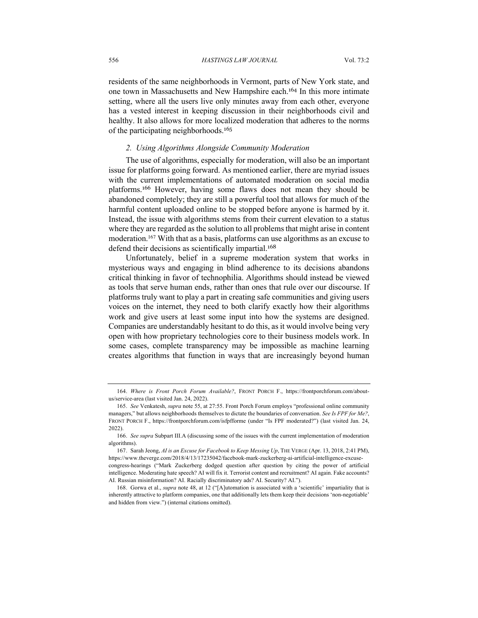residents of the same neighborhoods in Vermont, parts of New York state, and one town in Massachusetts and New Hampshire each.<sup>164</sup> In this more intimate setting, where all the users live only minutes away from each other, everyone has a vested interest in keeping discussion in their neighborhoods civil and healthy. It also allows for more localized moderation that adheres to the norms of the participating neighborhoods.<sup>165</sup>

#### *2. Using Algorithms Alongside Community Moderation*

The use of algorithms, especially for moderation, will also be an important issue for platforms going forward. As mentioned earlier, there are myriad issues with the current implementations of automated moderation on social media platforms.<sup>166</sup> However, having some flaws does not mean they should be abandoned completely; they are still a powerful tool that allows for much of the harmful content uploaded online to be stopped before anyone is harmed by it. Instead, the issue with algorithms stems from their current elevation to a status where they are regarded as the solution to all problems that might arise in content moderation. <sup>167</sup> With that as a basis, platforms can use algorithms as an excuse to defend their decisions as scientifically impartial.<sup>168</sup>

Unfortunately, belief in a supreme moderation system that works in mysterious ways and engaging in blind adherence to its decisions abandons critical thinking in favor of technophilia. Algorithms should instead be viewed as tools that serve human ends, rather than ones that rule over our discourse. If platforms truly want to play a part in creating safe communities and giving users voices on the internet, they need to both clarify exactly how their algorithms work and give users at least some input into how the systems are designed. Companies are understandably hesitant to do this, as it would involve being very open with how proprietary technologies core to their business models work. In some cases, complete transparency may be impossible as machine learning creates algorithms that function in ways that are increasingly beyond human

168. Gorwa et al., *supra* note 48, at 12 ("[A]utomation is associated with a 'scientific' impartiality that is inherently attractive to platform companies, one that additionally lets them keep their decisions 'non-negotiable' and hidden from view.") (internal citations omitted).

<sup>164.</sup> *Where is Front Porch Forum Available?*, FRONT PORCH F., https://frontporchforum.com/aboutus/service-area (last visited Jan. 24, 2022).

<sup>165.</sup> *See* Venkatesh, *supra* note 55, at 27:55. Front Porch Forum employs "professional online community managers," but allows neighborhoods themselves to dictate the boundaries of conversation. *See Is FPF for Me?*, FRONT PORCH F., https://frontporchforum.com/isfpfforme (under "Is FPF moderated?") (last visited Jan. 24, 2022).

<sup>166.</sup> *See supra* Subpart III.A (discussing some of the issues with the current implementation of moderation algorithms).

<sup>167</sup>. Sarah Jeong, *AI is an Excuse for Facebook to Keep Messing Up*, THE VERGE (Apr. 13, 2018, 2:41 PM), https://www.theverge.com/2018/4/13/17235042/facebook-mark-zuckerberg-ai-artificial-intelligence-excusecongress-hearings ("Mark Zuckerberg dodged question after question by citing the power of artificial intelligence. Moderating hate speech? AI will fix it. Terrorist content and recruitment? AI again. Fake accounts? AI. Russian misinformation? AI. Racially discriminatory ads? AI. Security? AI.").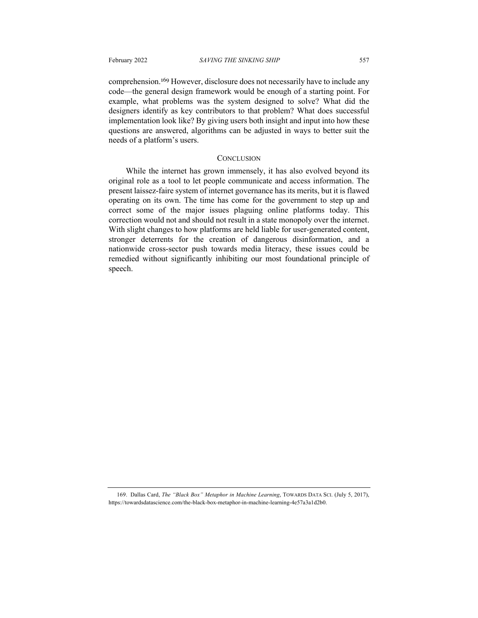comprehension.<sup>169</sup> However, disclosure does not necessarily have to include any code—the general design framework would be enough of a starting point. For example, what problems was the system designed to solve? What did the designers identify as key contributors to that problem? What does successful implementation look like? By giving users both insight and input into how these questions are answered, algorithms can be adjusted in ways to better suit the needs of a platform's users.

#### **CONCLUSION**

While the internet has grown immensely, it has also evolved beyond its original role as a tool to let people communicate and access information. The present laissez-faire system of internet governance has its merits, but it is flawed operating on its own. The time has come for the government to step up and correct some of the major issues plaguing online platforms today. This correction would not and should not result in a state monopoly over the internet. With slight changes to how platforms are held liable for user-generated content, stronger deterrents for the creation of dangerous disinformation, and a nationwide cross-sector push towards media literacy, these issues could be remedied without significantly inhibiting our most foundational principle of speech.

<sup>169.</sup> Dallas Card, *The "Black Box" Metaphor in Machine Learning*, TOWARDS DATA SCI. (July 5, 2017), https://towardsdatascience.com/the-black-box-metaphor-in-machine-learning-4e57a3a1d2b0.